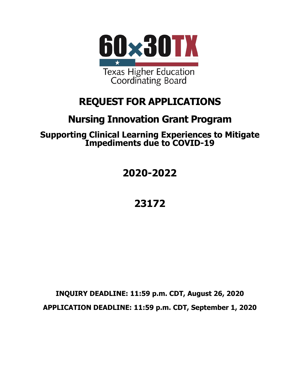

# **REQUEST FOR APPLICATIONS**

# **Nursing Innovation Grant Program**

**Supporting Clinical Learning Experiences to Mitigate Impediments due to COVID-19**

**2020-2022**

**23172**

**INQUIRY DEADLINE: 11:59 p.m. CDT, August 26, 2020 APPLICATION DEADLINE: 11:59 p.m. CDT, September 1, 2020**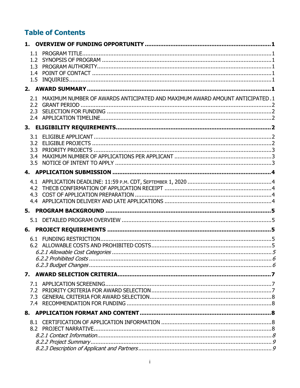# **Table of Contents**

| 1.3               |                                                                              |  |
|-------------------|------------------------------------------------------------------------------|--|
|                   |                                                                              |  |
| 2.1<br>2.2<br>2.3 | MAXIMUM NUMBER OF AWARDS ANTICIPATED AND MAXIMUM AWARD AMOUNT ANTICIPATED. 1 |  |
|                   |                                                                              |  |
| 3.2<br>3.4        |                                                                              |  |
|                   |                                                                              |  |
|                   |                                                                              |  |
|                   |                                                                              |  |
|                   |                                                                              |  |
|                   |                                                                              |  |
|                   |                                                                              |  |
|                   |                                                                              |  |
| 7.1<br>7.2<br>7.3 |                                                                              |  |
|                   |                                                                              |  |
|                   |                                                                              |  |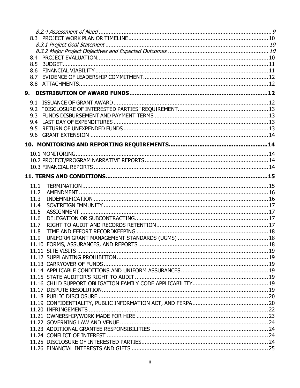| 8.5  |  |
|------|--|
|      |  |
|      |  |
|      |  |
|      |  |
|      |  |
|      |  |
|      |  |
|      |  |
|      |  |
| 9.5  |  |
| 9.6  |  |
|      |  |
|      |  |
|      |  |
|      |  |
|      |  |
|      |  |
|      |  |
| 11.1 |  |
| 11.2 |  |
| 11.3 |  |
| 11.4 |  |
| 11.5 |  |
| 11.6 |  |
| 11.7 |  |
| 11.8 |  |
| 11.9 |  |
|      |  |
|      |  |
|      |  |
|      |  |
|      |  |
|      |  |
|      |  |
|      |  |
|      |  |
|      |  |
|      |  |
|      |  |
|      |  |
|      |  |
|      |  |
|      |  |
|      |  |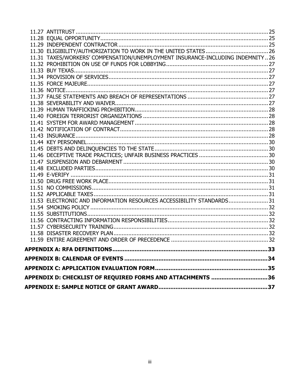| APPENDIX D: CHECKLIST OF REQUIRED FORMS AND ATTACHMENTS 36                     |  |
|--------------------------------------------------------------------------------|--|
|                                                                                |  |
|                                                                                |  |
|                                                                                |  |
|                                                                                |  |
|                                                                                |  |
|                                                                                |  |
|                                                                                |  |
|                                                                                |  |
|                                                                                |  |
| 11.53 ELECTRONIC AND INFORMATION RESOURCES ACCESSIBILITY STANDARDS31           |  |
|                                                                                |  |
|                                                                                |  |
|                                                                                |  |
|                                                                                |  |
|                                                                                |  |
|                                                                                |  |
|                                                                                |  |
|                                                                                |  |
|                                                                                |  |
|                                                                                |  |
|                                                                                |  |
|                                                                                |  |
|                                                                                |  |
|                                                                                |  |
|                                                                                |  |
|                                                                                |  |
|                                                                                |  |
|                                                                                |  |
|                                                                                |  |
|                                                                                |  |
| 11.31 TAXES/WORKERS' COMPENSATION/UNEMPLOYMENT INSURANCE-INCLUDING INDEMNITY26 |  |
|                                                                                |  |
|                                                                                |  |
|                                                                                |  |
|                                                                                |  |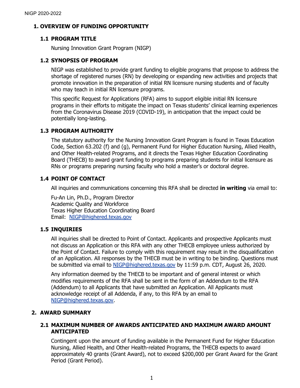# <span id="page-4-0"></span>**1. OVERVIEW OF FUNDING OPPORTUNITY**

# <span id="page-4-1"></span>**1.1 PROGRAM TITLE**

Nursing Innovation Grant Program (NIGP)

# <span id="page-4-2"></span>**1.2 SYNOPSIS OF PROGRAM**

NIGP was established to provide grant funding to eligible programs that propose to address the shortage of registered nurses (RN) by developing or expanding new activities and projects that promote innovation in the preparation of initial RN licensure nursing students and of faculty who may teach in initial RN licensure programs.

This specific Request for Applications (RFA) aims to support eligible initial RN licensure programs in their efforts to mitigate the impact on Texas students' clinical learning experiences from the Coronavirus Disease 2019 (COVID-19), in anticipation that the impact could be potentially long-lasting.

# <span id="page-4-3"></span>**1.3 PROGRAM AUTHORITY**

The statutory authority for the Nursing Innovation Grant Program is found in Texas Education Code, Section 63.202 (f) and (g), Permanent Fund for Higher Education Nursing, Allied Health, and Other Health-related Programs, and it directs the Texas Higher Education Coordinating Board (THECB) to award grant funding to programs preparing students for initial licensure as RNs or programs preparing nursing faculty who hold a master's or doctoral degree.

# <span id="page-4-4"></span>**1.4 POINT OF CONTACT**

All inquiries and communications concerning this RFA shall be directed **in writing** via email to:

Fu-An Lin, Ph.D., Program Director Academic Quality and Workforce Texas Higher Education Coordinating Board Email: [NIGP@highered.texas.gov](mailto:NIGP@highered.texas.gov)

# <span id="page-4-5"></span>**1.5 INQUIRIES**

All inquiries shall be directed to Point of Contact. Applicants and prospective Applicants must not discuss an Application or this RFA with any other THECB employee unless authorized by the Point of Contact. Failure to comply with this requirement may result in the disqualification of an Application. All responses by the THECB must be in writing to be binding. Questions must be submitted via email to [NIGP@highered.texas.gov](mailto:NIGP@highered.texas.gov) by 11:59 p.m. CDT, August 26, 2020.

Any information deemed by the THECB to be important and of general interest or which modifies requirements of the RFA shall be sent in the form of an Addendum to the RFA (Addendum) to all Applicants that have submitted an Application. All Applicants must acknowledge receipt of all Addenda, if any, to this RFA by an email to [NIGP@highered.texas.gov.](mailto:NIGP@highered.texas.gov)

# <span id="page-4-6"></span>**2. AWARD SUMMARY**

# <span id="page-4-7"></span>**2.1 MAXIMUM NUMBER OF AWARDS ANTICIPATED AND MAXIMUM AWARD AMOUNT ANTICIPATED**

Contingent upon the amount of funding available in the Permanent Fund for Higher Education Nursing, Allied Health, and Other Health-related Programs, the THECB expects to award approximately 40 grants (Grant Award), not to exceed \$200,000 per Grant Award for the Grant Period (Grant Period).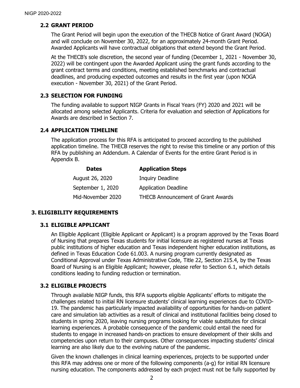# <span id="page-5-0"></span>**2.2 GRANT PERIOD**

The Grant Period will begin upon the execution of the THECB Notice of Grant Award (NOGA) and will conclude on November 30, 2022, for an approximately 24-month Grant Period. Awarded Applicants will have contractual obligations that extend beyond the Grant Period.

At the THECB's sole discretion, the second year of funding (December 1, 2021 - November 30, 2022) will be contingent upon the Awarded Applicant using the grant funds according to the grant contract terms and conditions, meeting established benchmarks and contractual deadlines, and producing expected outcomes and results in the first year (upon NOGA execution - November 30, 2021) of the Grant Period.

#### <span id="page-5-1"></span>**2.3 SELECTION FOR FUNDING**

The funding available to support NIGP Grants in Fiscal Years (FY) 2020 and 2021 will be allocated among selected Applicants. Criteria for evaluation and selection of Applications for Awards are described in Section 7.

# <span id="page-5-2"></span>**2.4 APPLICATION TIMELINE**

The application process for this RFA is anticipated to proceed according to the published application timeline. The THECB reserves the right to revise this timeline or any portion of this RFA by publishing an Addendum. A Calendar of Events for the entire Grant Period is in Appendix B.

| <b>Dates</b>      | <b>Application Steps</b>                  |
|-------------------|-------------------------------------------|
| August 26, 2020   | <b>Inquiry Deadline</b>                   |
| September 1, 2020 | <b>Application Deadline</b>               |
| Mid-November 2020 | <b>THECB Announcement of Grant Awards</b> |

# <span id="page-5-3"></span>**3. ELIGIBILITY REQUIREMENTS**

# <span id="page-5-4"></span>**3.1 ELIGIBLE APPLICANT**

An Eligible Applicant (Eligible Applicant or Applicant) is a program approved by the Texas Board of Nursing that prepares Texas students for initial licensure as registered nurses at Texas public institutions of higher education and Texas independent higher education institutions, as defined in Texas Education Code 61.003. A nursing program currently designated as Conditional Approval under Texas Administrative Code, Title 22, Section 215.4, by the Texas Board of Nursing is an Eligible Applicant; however, please refer to Section 6.1, which details conditions leading to funding reduction or termination.

# <span id="page-5-5"></span>**3.2 ELIGIBLE PROJECTS**

Through available NIGP funds, this RFA supports eligible Applicants' efforts to mitigate the challenges related to initial RN licensure students' clinical learning experiences due to COVID-19. The pandemic has particularly impacted availability of opportunities for hands-on patient care and simulation lab activities as a result of clinical and institutional facilities being closed to students in spring 2020, leaving nursing programs looking for viable substitutes for clinical learning experiences. A probable consequence of the pandemic could entail the need for students to engage in increased hands-on practices to ensure development of their skills and competencies upon return to their campuses. Other consequences impacting students' clinical learning are also likely due to the evolving nature of the pandemic.

Given the known challenges in clinical learning experiences, projects to be supported under this RFA may address one or more of the following components (a-g) for initial RN licensure nursing education. The components addressed by each project must not be fully supported by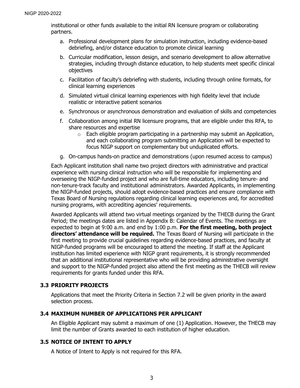institutional or other funds available to the initial RN licensure program or collaborating partners.

- a. Professional development plans for simulation instruction, including evidence-based debriefing, and/or distance education to promote clinical learning
- b. Curricular modification, lesson design, and scenario development to allow alternative strategies, including through distance education, to help students meet specific clinical objectives
- c. Facilitation of faculty's debriefing with students, including through online formats, for clinical learning experiences
- d. Simulated virtual clinical learning experiences with high fidelity level that include realistic or interactive patient scenarios
- e. Synchronous or asynchronous demonstration and evaluation of skills and competencies
- f. Collaboration among initial RN licensure programs, that are eligible under this RFA, to share resources and expertise
	- $\circ$  Each eligible program participating in a partnership may submit an Application, and each collaborating program submitting an Application will be expected to focus NIGP support on complementary but unduplicated efforts.
- g. On-campus hands-on practice and demonstrations (upon resumed access to campus)

Each Applicant institution shall name two project directors with administrative and practical experience with nursing clinical instruction who will be responsible for implementing and overseeing the NIGP-funded project and who are full-time educators, including tenure- and non-tenure-track faculty and institutional administrators. Awarded Applicants, in implementing the NIGP-funded projects, should adopt evidence-based practices and ensure compliance with Texas Board of Nursing regulations regarding clinical learning experiences and, for accredited nursing programs, with accrediting agencies' requirements.

Awarded Applicants will attend two virtual meetings organized by the THECB during the Grant Period; the meetings dates are listed in Appendix B: Calendar of Events. The meetings are expected to begin at 9:00 a.m. and end by 1:00 p.m. **For the first meeting, both project directors' attendance will be required.** The Texas Board of Nursing will participate in the first meeting to provide crucial guidelines regarding evidence-based practices, and faculty at NIGP-funded programs will be encouraged to attend the meeting. If staff at the Applicant institution has limited experience with NIGP grant requirements, it is strongly recommended that an additional institutional representative who will be providing administrative oversight and support to the NIGP-funded project also attend the first meeting as the THECB will review requirements for grants funded under this RFA.

# <span id="page-6-0"></span>**3.3 PRIORITY PROJECTS**

Applications that meet the Priority Criteria in Section 7.2 will be given priority in the award selection process.

#### <span id="page-6-1"></span>**3.4 MAXIMUM NUMBER OF APPLICATIONS PER APPLICANT**

An Eligible Applicant may submit a maximum of one (1) Application. However, the THECB may limit the number of Grants awarded to each institution of higher education.

# <span id="page-6-2"></span>**3.5 NOTICE OF INTENT TO APPLY**

A Notice of Intent to Apply is not required for this RFA.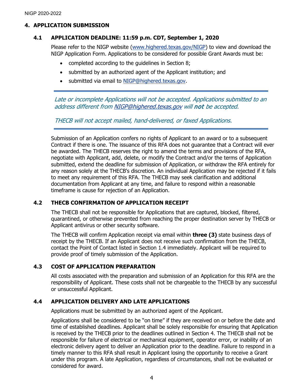### <span id="page-7-0"></span>**4. APPLICATION SUBMISSION**

### <span id="page-7-1"></span>**4.1 APPLICATION DEADLINE: 11:59 p.m. CDT, September 1, 2020**

Please refer to the NIGP website [\(www.highered.texas.gov/NIGP\)](http://www.highered.texas.gov/NIGP) to view and download the NIGP Application Form. Applications to be considered for possible Grant Awards must be:

- completed according to the guidelines in Section 8;
- submitted by an authorized agent of the Applicant institution; and
- submitted via email to [NIGP@highered.texas.gov.](mailto:NIGP@highered.texas.gov)

Late or incomplete Applications will not be accepted. Applications submitted to an address different fro[m NIGP@highered.texas.gov](mailto:NIGP@highered.texas.gov) will not be accepted.

THECB will not accept mailed, hand-delivered, or faxed Applications.

Submission of an Application confers no rights of Applicant to an award or to a subsequent Contract if there is one. The issuance of this RFA does not guarantee that a Contract will ever be awarded. The THECB reserves the right to amend the terms and provisions of the RFA, negotiate with Applicant, add, delete, or modify the Contract and/or the terms of Application submitted, extend the deadline for submission of Application, or withdraw the RFA entirely for any reason solely at the THECB's discretion. An individual Application may be rejected if it fails to meet any requirement of this RFA. The THECB may seek clarification and additional documentation from Applicant at any time, and failure to respond within a reasonable timeframe is cause for rejection of an Application.

# <span id="page-7-2"></span>**4.2 THECB CONFIRMATION OF APPLICATION RECEIPT**

The THECB shall not be responsible for Applications that are captured, blocked, filtered, quarantined, or otherwise prevented from reaching the proper destination server by THECB or Applicant antivirus or other security software.

The THECB will confirm Application receipt via email within **three (3)** state business days of receipt by the THECB. If an Applicant does not receive such confirmation from the THECB, contact the Point of Contact listed in Section 1.4 immediately. Applicant will be required to provide proof of timely submission of the Application.

# <span id="page-7-3"></span>**4.3 COST OF APPLICATION PREPARATION**

All costs associated with the preparation and submission of an Application for this RFA are the responsibility of Applicant. These costs shall not be chargeable to the THECB by any successful or unsuccessful Applicant.

# <span id="page-7-4"></span>**4.4 APPLICATION DELIVERY AND LATE APPLICATIONS**

Applications must be submitted by an authorized agent of the Applicant.

Applications shall be considered to be "on time" if they are received on or before the date and time of established deadlines. Applicant shall be solely responsible for ensuring that Application is received by the THECB prior to the deadlines outlined in Section 4. The THECB shall not be responsible for failure of electrical or mechanical equipment, operator error, or inability of an electronic delivery agent to deliver an Application prior to the deadline. Failure to respond in a timely manner to this RFA shall result in Applicant losing the opportunity to receive a Grant under this program. A late Application, regardless of circumstances, shall not be evaluated or considered for award.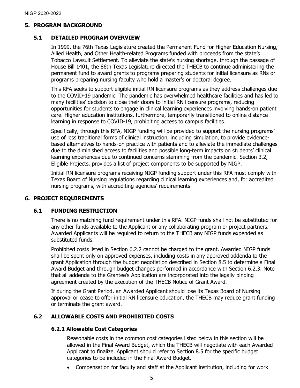#### <span id="page-8-0"></span>**5. PROGRAM BACKGROUND**

#### <span id="page-8-1"></span>**5.1 DETAILED PROGRAM OVERVIEW**

In 1999, the 76th Texas Legislature created the Permanent Fund for Higher Education Nursing, Allied Health, and Other Health-related Programs funded with proceeds from the state's Tobacco Lawsuit Settlement. To alleviate the state's nursing shortage, through the passage of House Bill 1401, the 86th Texas Legislature directed the THECB to continue administering the permanent fund to award grants to programs preparing students for initial licensure as RNs or programs preparing nursing faculty who hold a master's or doctoral degree.

This RFA seeks to support eligible initial RN licensure programs as they address challenges due to the COVID-19 pandemic. The pandemic has overwhelmed healthcare facilities and has led to many facilities' decision to close their doors to initial RN licensure programs, reducing opportunities for students to engage in clinical learning experiences involving hands-on patient care. Higher education institutions, furthermore, temporarily transitioned to online distance learning in response to COVID-19, prohibiting access to campus facilities.

Specifically, through this RFA, NIGP funding will be provided to support the nursing programs' use of less traditional forms of clinical instruction, including simulation, to provide evidencebased alternatives to hands-on practice with patients and to alleviate the immediate challenges due to the diminished access to facilities and possible long-term impacts on students' clinical learning experiences due to continued concerns stemming from the pandemic. Section 3.2, Eligible Projects, provides a list of project components to be supported by NIGP.

Initial RN licensure programs receiving NIGP funding support under this RFA must comply with Texas Board of Nursing regulations regarding clinical learning experiences and, for accredited nursing programs, with accrediting agencies' requirements.

#### <span id="page-8-2"></span>**6. PROJECT REQUIREMENTS**

#### <span id="page-8-3"></span>**6.1 FUNDING RESTRICTION**

There is no matching fund requirement under this RFA. NIGP funds shall not be substituted for any other funds available to the Applicant or any collaborating program or project partners. Awarded Applicants will be required to return to the THECB any NIGP funds expended as substituted funds.

Prohibited costs listed in Section 6.2.2 cannot be charged to the grant. Awarded NIGP funds shall be spent only on approved expenses, including costs in any approved addenda to the grant Application through the budget negotiation described in Section 8.5 to determine a Final Award Budget and through budget changes performed in accordance with Section 6.2.3. Note that all addenda to the Grantee's Application are incorporated into the legally binding agreement created by the execution of the THECB Notice of Grant Award.

If during the Grant Period, an Awarded Applicant should lose its Texas Board of Nursing approval or cease to offer initial RN licensure education, the THECB may reduce grant funding or terminate the grant award.

# <span id="page-8-4"></span>**6.2 ALLOWABLE COSTS AND PROHIBITED COSTS**

#### <span id="page-8-5"></span>**6.2.1 Allowable Cost Categories**

Reasonable costs in the common cost categories listed below in this section will be allowed in the Final Award Budget, which the THECB will negotiate with each Awarded Applicant to finalize. Applicant should refer to Section 8.5 for the specific budget categories to be included in the Final Award Budget.

• Compensation for faculty and staff at the Applicant institution, including for work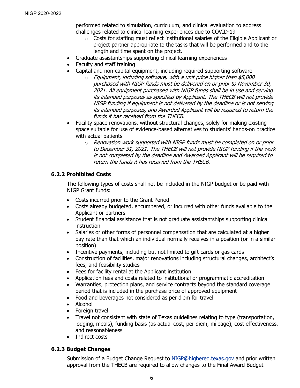performed related to simulation, curriculum, and clinical evaluation to address challenges related to clinical learning experiences due to COVID-19

- $\circ$  Costs for staffing must reflect institutional salaries of the Eligible Applicant or project partner appropriate to the tasks that will be performed and to the length and time spent on the project.
- Graduate assistantships supporting clinical learning experiences
- Faculty and staff training
	- Capital and non-capital equipment, including required supporting software
		- $\circ$  Equipment, including software, with a unit price higher than \$5,000 purchased with NIGP funds must be delivered on or prior to November 30, 2021. All equipment purchased with NIGP funds shall be in use and serving its intended purposes as specified by Applicant. The THECB will not provide NIGP funding if equipment is not delivered by the deadline or is not serving its intended purposes, and Awarded Applicant will be required to return the funds it has received from the THECB.
- Facility space renovations, without structural changes, solely for making existing space suitable for use of evidence-based alternatives to students' hands-on practice with actual patients
	- $\circ$  Renovation work supported with NIGP funds must be completed on or prior to December 31, 2021. The THECB will not provide NIGP funding if the work is not completed by the deadline and Awarded Applicant will be required to return the funds it has received from the THECB.

# <span id="page-9-0"></span>**6.2.2 Prohibited Costs**

The following types of costs shall not be included in the NIGP budget or be paid with NIGP Grant funds:

- Costs incurred prior to the Grant Period
- Costs already budgeted, encumbered, or incurred with other funds available to the Applicant or partners
- Student financial assistance that is not graduate assistantships supporting clinical instruction
- Salaries or other forms of personnel compensation that are calculated at a higher pay rate than that which an individual normally receives in a position (or in a similar position)
- Incentive payments, including but not limited to gift cards or gas cards
- Construction of facilities, major renovations including structural changes, architect's fees, and feasibility studies
- Fees for facility rental at the Applicant institution
- Application fees and costs related to institutional or programmatic accreditation
- Warranties, protection plans, and service contracts beyond the standard coverage period that is included in the purchase price of approved equipment
- Food and beverages not considered as per diem for travel
- Alcohol
- Foreign travel
- Travel not consistent with state of Texas guidelines relating to type (transportation, lodging, meals), funding basis (as actual cost, per diem, mileage), cost effectiveness, and reasonableness
- Indirect costs

# <span id="page-9-1"></span>**6.2.3 Budget Changes**

Submission of a Budget Change Request to [NIGP@highered.texas.gov](mailto:NIGP@highered.texas.gov) and prior written approval from the THECB are required to allow changes to the Final Award Budget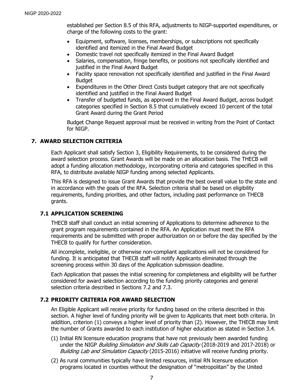established per Section 8.5 of this RFA, adjustments to NIGP-supported expenditures, or charge of the following costs to the grant:

- Equipment, software, licenses, memberships, or subscriptions not specifically identified and itemized in the Final Award Budget
- Domestic travel not specifically itemized in the Final Award Budget
- Salaries, compensation, fringe benefits, or positions not specifically identified and justified in the Final Award Budget
- Facility space renovation not specifically identified and justified in the Final Award **Budget**
- Expenditures in the Other Direct Costs budget category that are not specifically identified and justified in the Final Award Budget
- Transfer of budgeted funds, as approved in the Final Award Budget, across budget categories specified in Section 8.5 that cumulatively exceed 10 percent of the total Grant Award during the Grant Period

Budget Change Request approval must be received in writing from the Point of Contact for NIGP.

### <span id="page-10-0"></span>**7. AWARD SELECTION CRITERIA**

Each Applicant shall satisfy Section 3, Eligibility Requirements, to be considered during the award selection process. Grant Awards will be made on an allocation basis. The THECB will adopt a funding allocation methodology, incorporating criteria and categories specified in this RFA, to distribute available NIGP funding among selected Applicants.

This RFA is designed to issue Grant Awards that provide the best overall value to the state and in accordance with the goals of the RFA. Selection criteria shall be based on eligibility requirements, funding priorities, and other factors, including past performance on THECB grants.

#### <span id="page-10-1"></span>**7.1 APPLICATION SCREENING**

THECB staff shall conduct an initial screening of Applications to determine adherence to the grant program requirements contained in the RFA. An Application must meet the RFA requirements and be submitted with proper authorization on or before the day specified by the THECB to qualify for further consideration.

All incomplete, ineligible, or otherwise non-compliant applications will not be considered for funding. It is anticipated that THECB staff will notify Applicants eliminated through the screening process within 30 days of the Application submission deadline.

Each Application that passes the initial screening for completeness and eligibility will be further considered for award selection according to the funding priority categories and general selection criteria described in Sections 7.2 and 7.3.

#### <span id="page-10-2"></span>**7.2 PRIORITY CRITERIA FOR AWARD SELECTION**

An Eligible Applicant will receive priority for funding based on the criteria described in this section. A higher level of funding priority will be given to Applicants that meet both criteria. In addition, criterion (1) conveys a higher level of priority than (2). However, the THECB may limit the number of Grants awarded to each institution of higher education as stated in Section 3.4.

- (1) Initial RN licensure education programs that have not previously been awarded funding under the NIGP Building Simulation and Skills Lab Capacity (2018-2019 and 2017-2018) or Building Lab and Simulation Capacity (2015-2016) initiative will receive funding priority.
- (2) As rural communities typically have limited resources, initial RN licensure education programs located in counties without the designation of "metropolitan" by the United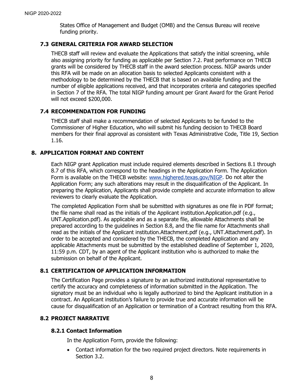States Office of Management and Budget (OMB) and the Census Bureau will receive funding priority.

# <span id="page-11-0"></span>**7.3 GENERAL CRITERIA FOR AWARD SELECTION**

THECB staff will review and evaluate the Applications that satisfy the initial screening, while also assigning priority for funding as applicable per Section 7.2. Past performance on THECB grants will be considered by THECB staff in the award selection process. NIGP awards under this RFA will be made on an allocation basis to selected Applicants consistent with a methodology to be determined by the THECB that is based on available funding and the number of eligible applications received, and that incorporates criteria and categories specified in Section 7 of the RFA. The total NIGP funding amount per Grant Award for the Grant Period will not exceed \$200,000.

# <span id="page-11-1"></span>**7.4 RECOMMENDATION FOR FUNDING**

THECB staff shall make a recommendation of selected Applicants to be funded to the Commissioner of Higher Education, who will submit his funding decision to THECB Board members for their final approval as consistent with Texas Administrative Code, Title 19, Section 1.16.

# <span id="page-11-2"></span>**8. APPLICATION FORMAT AND CONTENT**

Each NIGP grant Application must include required elements described in Sections 8.1 through 8.7 of this RFA, which correspond to the headings in the Application Form. The Application Form is available on the THECB website: [www.highered.texas.gov/NIGP.](http://www.highered.texas.gov/NIGP) Do not alter the Application Form; any such alterations may result in the disqualification of the Applicant. In preparing the Application, Applicants shall provide complete and accurate information to allow reviewers to clearly evaluate the Application.

The completed Application Form shall be submitted with signatures as one file in PDF format; the file name shall read as the initials of the Applicant institution.Application.pdf (e.g., UNT.Application.pdf). As applicable and as a separate file, allowable Attachments shall be prepared according to the guidelines in Section 8.8, and the file name for Attachments shall read as the initials of the Applicant institution.Attachment.pdf (e.g., UNT.Attachment.pdf). In order to be accepted and considered by the THECB, the completed Application and any applicable Attachments must be submitted by the established deadline of September 1, 2020, 11:59 p.m. CDT, by an agent of the Applicant institution who is authorized to make the submission on behalf of the Applicant.

# <span id="page-11-3"></span>**8.1 CERTIFICATION OF APPLICATION INFORMATION**

The Certification Page provides a signature by an authorized institutional representative to certify the accuracy and completeness of information submitted in the Application. The signatory must be an individual who is legally authorized to bind the Applicant institution in a contract. An Applicant institution's failure to provide true and accurate information will be cause for disqualification of an Application or termination of a Contract resulting from this RFA.

# <span id="page-11-4"></span>**8.2 PROJECT NARRATIVE**

# <span id="page-11-5"></span>**8.2.1 Contact Information**

In the Application Form, provide the following:

• Contact information for the two required project directors. Note requirements in Section 3.2.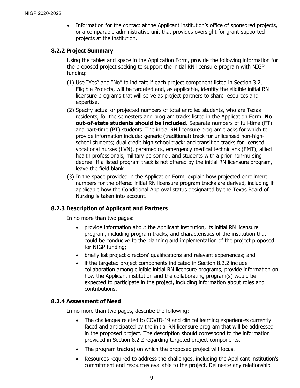• Information for the contact at the Applicant institution's office of sponsored projects, or a comparable administrative unit that provides oversight for grant-supported projects at the institution.

### <span id="page-12-0"></span>**8.2.2 Project Summary**

Using the tables and space in the Application Form, provide the following information for the proposed project seeking to support the initial RN licensure program with NIGP funding:

- (1) Use "Yes" and "No" to indicate if each project component listed in Section 3.2, Eligible Projects, will be targeted and, as applicable, identify the eligible initial RN licensure programs that will serve as project partners to share resources and expertise.
- (2) Specify actual or projected numbers of total enrolled students, who are Texas residents, for the semesters and program tracks listed in the Application Form. **No out-of-state students should be included.** Separate numbers of full-time (FT) and part-time (PT) students. The initial RN licensure program tracks for which to provide information include: generic (traditional) track for unlicensed non-highschool students; dual credit high school track; and transition tracks for licensed vocational nurses (LVN), paramedics, emergency medical technicians (EMT), allied health professionals, military personnel, and students with a prior non-nursing degree. If a listed program track is not offered by the initial RN licensure program, leave the field blank.
- (3) In the space provided in the Application Form, explain how projected enrollment numbers for the offered initial RN licensure program tracks are derived, including if applicable how the Conditional Approval status designated by the Texas Board of Nursing is taken into account.

# <span id="page-12-1"></span>**8.2.3 Description of Applicant and Partners**

In no more than two pages:

- provide information about the Applicant institution, its initial RN licensure program, including program tracks, and characteristics of the institution that could be conducive to the planning and implementation of the project proposed for NIGP funding;
- briefly list project directors' qualifications and relevant experiences; and
- if the targeted project components indicated in Section 8.2.2 include collaboration among eligible initial RN licensure programs, provide information on how the Applicant institution and the collaborating program(s) would be expected to participate in the project, including information about roles and contributions.

#### <span id="page-12-2"></span>**8.2.4 Assessment of Need**

In no more than two pages, describe the following:

- The challenges related to COVID-19 and clinical learning experiences currently faced and anticipated by the initial RN licensure program that will be addressed in the proposed project. The description should correspond to the information provided in Section 8.2.2 regarding targeted project components.
- The program track(s) on which the proposed project will focus.
- Resources required to address the challenges, including the Applicant institution's commitment and resources available to the project. Delineate any relationship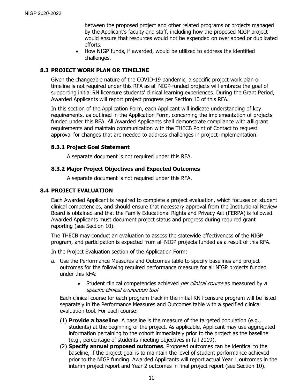between the proposed project and other related programs or projects managed by the Applicant's faculty and staff, including how the proposed NIGP project would ensure that resources would not be expended on overlapped or duplicated efforts.

• How NIGP funds, if awarded, would be utilized to address the identified challenges.

# <span id="page-13-0"></span>**8.3 PROJECT WORK PLAN OR TIMELINE**

Given the changeable nature of the COVID-19 pandemic, a specific project work plan or timeline is not required under this RFA as all NIGP-funded projects will embrace the goal of supporting initial RN licensure students' clinical learning experiences. During the Grant Period, Awarded Applicants will report project progress per Section 10 of this RFA.

In this section of the Application Form, each Applicant will indicate understanding of key requirements, as outlined in the Application Form, concerning the implementation of projects funded under this RFA. All Awarded Applicants shall demonstrate compliance with **all** grant requirements and maintain communication with the THECB Point of Contact to request approval for changes that are needed to address challenges in project implementation.

#### <span id="page-13-1"></span>**8.3.1 Project Goal Statement**

A separate document is not required under this RFA.

#### <span id="page-13-2"></span>**8.3.2 Major Project Objectives and Expected Outcomes**

A separate document is not required under this RFA.

#### <span id="page-13-3"></span>**8.4 PROJECT EVALUATION**

Each Awarded Applicant is required to complete a project evaluation, which focuses on student clinical competencies, and should ensure that necessary approval from the Institutional Review Board is obtained and that the Family Educational Rights and Privacy Act (FERPA) is followed. Awarded Applicants must document project status and progress during required grant reporting (see Section 10).

The THECB may conduct an evaluation to assess the statewide effectiveness of the NIGP program, and participation is expected from all NIGP projects funded as a result of this RFA.

In the Project Evaluation section of the Application Form:

- a. Use the Performance Measures and Outcomes table to specify baselines and project outcomes for the following required performance measure for all NIGP projects funded under this RFA:
	- Student clinical competencies achieved *per clinical course* as measured by a specific clinical evaluation tool

Each clinical course for each program track in the initial RN licensure program will be listed separately in the Performance Measures and Outcomes table with a specified clinical evaluation tool. For each course:

- (1) **Provide a baseline**. A baseline is the measure of the targeted population (e.g., students) at the beginning of the project. As applicable, Applicant may use aggregated information pertaining to the cohort immediately prior to the project as the baseline (e.g., percentage of students meeting objectives in fall 2019).
- (2) **Specify annual proposed outcomes**. Proposed outcomes can be identical to the baseline, if the project goal is to maintain the level of student performance achieved prior to the NIGP funding. Awarded Applicants will report actual Year 1 outcomes in the interim project report and Year 2 outcomes in final project report (see Section 10).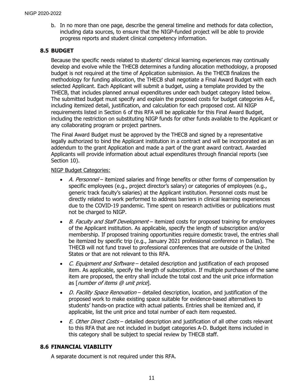b. In no more than one page, describe the general timeline and methods for data collection, including data sources, to ensure that the NIGP-funded project will be able to provide progress reports and student clinical competency information.

# <span id="page-14-0"></span>**8.5 BUDGET**

Because the specific needs related to students' clinical learning experiences may continually develop and evolve while the THECB determines a funding allocation methodology, a proposed budget is not required at the time of Application submission. As the THECB finalizes the methodology for funding allocation, the THECB shall negotiate a Final Award Budget with each selected Applicant. Each Applicant will submit a budget, using a template provided by the THECB, that includes planned annual expenditures under each budget category listed below. The submitted budget must specify and explain the proposed costs for budget categories A-E, including itemized detail, justification, and calculation for each proposed cost. All NIGP requirements listed in Section 6 of this RFA will be applicable for this Final Award Budget, including the restriction on substituting NIGP funds for other funds available to the Applicant or any collaborating program or project partners.

The Final Award Budget must be approved by the THECB and signed by a representative legally authorized to bind the Applicant institution in a contract and will be incorporated as an addendum to the grant Application and made a part of the grant award contract. Awarded Applicants will provide information about actual expenditures through financial reports (see Section 10).

### NIGP Budget Categories:

- A. Personnel itemized salaries and fringe benefits or other forms of compensation by specific employees (e.g., project director's salary) or categories of employees (e.g., generic track faculty's salaries) at the Applicant institution. Personnel costs must be directly related to work performed to address barriers in clinical learning experiences due to the COVID-19 pandemic. Time spent on research activities or publications must not be charged to NIGP.
- B. Faculty and Staff Development itemized costs for proposed training for employees of the Applicant institution. As applicable, specify the length of subscription and/or membership. If proposed training opportunities require domestic travel, the entries shall be itemized by specific trip (e.g., January 2021 professional conference in Dallas). The THECB will not fund travel to professional conferences that are outside of the United States or that are not relevant to this RFA.
- C. Equipment and Software detailed description and justification of each proposed item. As applicable, specify the length of subscription. If multiple purchases of the same item are proposed, the entry shall include the total cost and the unit price information as [number of items @ unit price].
- D. Facility Space Renovation detailed description, location, and justification of the proposed work to make existing space suitable for evidence-based alternatives to students' hands-on practice with actual patients. Entries shall be itemized and, if applicable, list the unit price and total number of each item requested.
- E. Other Direct Costs detailed description and justification of all other costs relevant to this RFA that are not included in budget categories A-D. Budget items included in this category shall be subject to special review by THECB staff.

# <span id="page-14-1"></span>**8.6 FINANCIAL VIABILITY**

A separate document is not required under this RFA.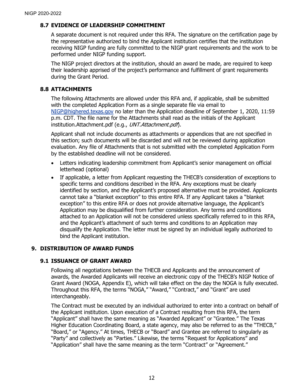# <span id="page-15-0"></span>**8.7 EVIDENCE OF LEADERSHIP COMMITMENT**

A separate document is not required under this RFA. The signature on the certification page by the representative authorized to bind the Applicant institution certifies that the institution receiving NIGP funding are fully committed to the NIGP grant requirements and the work to be performed under NIGP funding support.

The NIGP project directors at the institution, should an award be made, are required to keep their leadership apprised of the project's performance and fulfillment of grant requirements during the Grant Period.

#### <span id="page-15-1"></span>**8.8 ATTACHMENTS**

The following Attachments are allowed under this RFA and, if applicable, shall be submitted with the completed Application Form as a single separate file via email to [NIGP@highered.texas.gov](mailto:NIGP@highered.texas.gov) no later than the Application deadline of September 1, 2020, 11:59 p.m. CDT. The file name for the Attachments shall read as the initials of the Applicant institution.Attachment.pdf (e.g., UNT.Attachment.pdf).

Applicant shall not include documents as attachments or appendices that are not specified in this section; such documents will be discarded and will not be reviewed during application evaluation. Any file of Attachments that is not submitted with the completed Application Form by the established deadline will not be considered.

- Letters indicating leadership commitment from Applicant's senior management on official letterhead (optional)
- If applicable, a letter from Applicant requesting the THECB's consideration of exceptions to specific terms and conditions described in the RFA. Any exceptions must be clearly identified by section, and the Applicant's proposed alternative must be provided. Applicants cannot take a "blanket exception" to this entire RFA. If any Applicant takes a "blanket exception" to this entire RFA or does not provide alternative language, the Applicant's Application may be disqualified from further consideration. Any terms and conditions attached to an Application will not be considered unless specifically referred to in this RFA, and the Applicant's attachment of such terms and conditions to an Application may disqualify the Application. The letter must be signed by an individual legally authorized to bind the Applicant institution.

# <span id="page-15-2"></span>**9. DISTRIBUTION OF AWARD FUNDS**

#### <span id="page-15-3"></span>**9.1 ISSUANCE OF GRANT AWARD**

Following all negotiations between the THECB and Applicants and the announcement of awards, the Awarded Applicants will receive an electronic copy of the THECB's NIGP Notice of Grant Award (NOGA, Appendix E), which will take effect on the day the NOGA is fully executed. Throughout this RFA, the terms "NOGA," "Award," "Contract," and "Grant" are used interchangeably.

The Contract must be executed by an individual authorized to enter into a contract on behalf of the Applicant institution. Upon execution of a Contract resulting from this RFA, the term "Applicant" shall have the same meaning as "Awarded Applicant" or "Grantee." The Texas Higher Education Coordinating Board, a state agency, may also be referred to as the "THECB," "Board," or "Agency." At times, THECB or "Board" and Grantee are referred to singularly as "Party" and collectively as "Parties." Likewise, the terms "Request for Applications" and "Application" shall have the same meaning as the term "Contract" or "Agreement."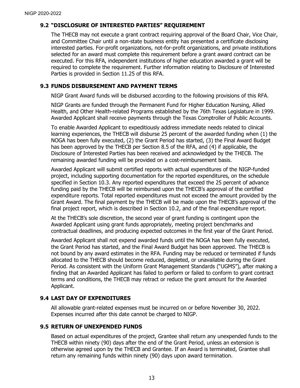# <span id="page-16-0"></span>**9.2 "DISCLOSURE OF INTERESTED PARTIES" REQUIREMENT**

The THECB may not execute a grant contract requiring approval of the Board Chair, Vice Chair, and Committee Chair until a non-state business entity has presented a certificate disclosing interested parties. For-profit organizations, not-for-profit organizations, and private institutions selected for an award must complete this requirement before a grant award contract can be executed. For this RFA, independent institutions of higher education awarded a grant will be required to complete the requirement. Further information relating to Disclosure of Interested Parties is provided in Section 11.25 of this RFA.

#### <span id="page-16-1"></span>**9.3 FUNDS DISBURSEMENT AND PAYMENT TERMS**

NIGP Grant Award funds will be disbursed according to the following provisions of this RFA.

NIGP Grants are funded through the Permanent Fund for Higher Education Nursing, Allied Health, and Other Health-related Programs established by the 76th Texas Legislature in 1999. Awarded Applicant shall receive payments through the Texas Comptroller of Public Accounts.

To enable Awarded Applicant to expeditiously address immediate needs related to clinical learning experiences, the THECB will disburse 25 percent of the awarded funding when (1) the NOGA has been fully executed, (2) the Grant Period has started, (3) the Final Award Budget has been approved by the THECB per Section 8.5 of the RFA, and (4) if applicable, the Disclosure of Interested Parties has been received and acknowledged by the THECB. The remaining awarded funding will be provided on a cost-reimbursement basis.

Awarded Applicant will submit certified reports with actual expenditures of the NIGP-funded project, including supporting documentation for the reported expenditures, on the schedule specified in Section 10.3. Any reported expenditures that exceed the 25 percent of advance funding paid by the THECB will be reimbursed upon the THECB's approval of the certified expenditure reports. Total reported expenditures must not exceed the amount provided by the Grant Award. The final payment by the THECB will be made upon the THECB's approval of the final project report, which is described in Section 10.2, and of the final expenditure report.

At the THECB's sole discretion, the second year of grant funding is contingent upon the Awarded Applicant using grant funds appropriately, meeting project benchmarks and contractual deadlines, and producing expected outcomes in the first year of the Grant Period.

Awarded Applicant shall not expend awarded funds until the NOGA has been fully executed, the Grant Period has started, and the Final Award Budget has been approved. The THECB is not bound by any award estimates in the RFA. Funding may be reduced or terminated if funds allocated to the THECB should become reduced, depleted, or unavailable during the Grant Period. As consistent with the Uniform Grant Management Standards ("UGMS"), after making a finding that an Awarded Applicant has failed to perform or failed to conform to grant contract terms and conditions, the THECB may retract or reduce the grant amount for the Awarded Applicant.

#### <span id="page-16-2"></span>**9.4 LAST DAY OF EXPENDITURES**

All allowable grant-related expenses must be incurred on or before November 30, 2022. Expenses incurred after this date cannot be charged to NIGP.

#### <span id="page-16-3"></span>**9.5 RETURN OF UNEXPENDED FUNDS**

Based on actual expenditures of the project, Grantee shall return any unexpended funds to the THECB within ninety (90) days after the end of the Grant Period, unless an extension is otherwise agreed upon by the THECB and Grantee. If an Award is terminated, Grantee shall return any remaining funds within ninety (90) days upon award termination.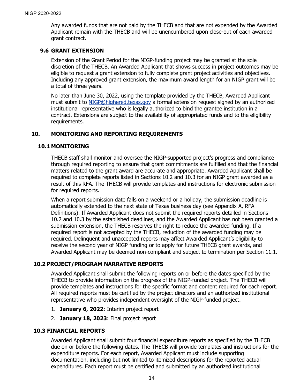Any awarded funds that are not paid by the THECB and that are not expended by the Awarded Applicant remain with the THECB and will be unencumbered upon close-out of each awarded grant contract.

# <span id="page-17-0"></span>**9.6 GRANT EXTENSION**

Extension of the Grant Period for the NIGP-funding project may be granted at the sole discretion of the THECB. An Awarded Applicant that shows success in project outcomes may be eligible to request a grant extension to fully complete grant project activities and objectives. Including any approved grant extension, the maximum award length for an NIGP grant will be a total of three years.

No later than June 30, 2022, using the template provided by the THECB, Awarded Applicant must submit to [NIGP@highered.texas.gov](mailto:NIGP@highered.texas.gov) a formal extension request signed by an authorized institutional representative who is legally authorized to bind the grantee institution in a contract. Extensions are subject to the availability of appropriated funds and to the eligibility requirements.

### <span id="page-17-1"></span>**10. MONITORING AND REPORTING REQUIREMENTS**

#### <span id="page-17-2"></span>**10.1 MONITORING**

THECB staff shall monitor and oversee the NIGP-supported project's progress and compliance through required reporting to ensure that grant commitments are fulfilled and that the financial matters related to the grant award are accurate and appropriate. Awarded Applicant shall be required to complete reports listed in Sections 10.2 and 10.3 for an NIGP grant awarded as a result of this RFA. The THECB will provide templates and instructions for electronic submission for required reports.

When a report submission date falls on a weekend or a holiday, the submission deadline is automatically extended to the next state of Texas business day (see Appendix A, RFA Definitions). If Awarded Applicant does not submit the required reports detailed in Sections 10.2 and 10.3 by the established deadlines, and the Awarded Applicant has not been granted a submission extension, the THECB reserves the right to reduce the awarded funding. If a required report is not accepted by the THECB, reduction of the awarded funding may be required. Delinquent and unaccepted reports may affect Awarded Applicant's eligibility to receive the second year of NIGP funding or to apply for future THECB grant awards, and Awarded Applicant may be deemed non-compliant and subject to termination per Section 11.1.

#### <span id="page-17-3"></span>**10.2 PROJECT/PROGRAM NARRATIVE REPORTS**

Awarded Applicant shall submit the following reports on or before the dates specified by the THECB to provide information on the progress of the NIGP-funded project. The THECB will provide templates and instructions for the specific format and content required for each report. All required reports must be certified by the project directors and an authorized institutional representative who provides independent oversight of the NIGP-funded project.

- 1. **January 6, 2022**: Interim project report
- 2. **January 18, 2023**: Final project report

#### <span id="page-17-4"></span>**10.3 FINANCIAL REPORTS**

Awarded Applicant shall submit four financial expenditure reports as specified by the THECB due on or before the following dates. The THECB will provide templates and instructions for the expenditure reports. For each report, Awarded Applicant must include supporting documentation, including but not limited to itemized descriptions for the reported actual expenditures. Each report must be certified and submitted by an authorized institutional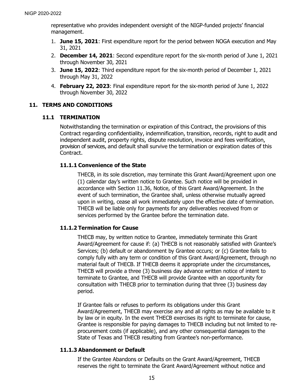representative who provides independent oversight of the NIGP-funded projects' financial management.

- 1. **June 15, 2021**: First expenditure report for the period between NOGA execution and May 31, 2021
- 2. **December 14, 2021**: Second expenditure report for the six-month period of June 1, 2021 through November 30, 2021
- 3. **June 15, 2022**: Third expenditure report for the six-month period of December 1, 2021 through May 31, 2022
- 4. **February 22, 2023**: Final expenditure report for the six-month period of June 1, 2022 through November 30, 2022

# <span id="page-18-1"></span><span id="page-18-0"></span>**11. TERMS AND CONDITIONS**

# **11.1 TERMINATION**

Notwithstanding the termination or expiration of this Contract, the provisions of this Contract regarding confidentiality, indemnification, transition, records, right to audit and independent audit, property rights, dispute resolution, invoice and fees verification, provision of services, and default shall survive the termination or expiration dates of this Contract.

# **11.1.1 Convenience of the State**

THECB, in its sole discretion, may terminate this Grant Award/Agreement upon one (1) calendar day's written notice to Grantee. Such notice will be provided in accordance with Section 11.36, Notice, of this Grant Award/Agreement. In the event of such termination, the Grantee shall, unless otherwise mutually agreed upon in writing, cease all work immediately upon the effective date of termination. THECB will be liable only for payments for any deliverables received from or services performed by the Grantee before the termination date.

# **11.1.2 Termination for Cause**

THECB may, by written notice to Grantee, immediately terminate this Grant Award/Agreement for cause if: (a) THECB is not reasonably satisfied with Grantee's Services; (b) default or abandonment by Grantee occurs; or (c) Grantee fails to comply fully with any term or condition of this Grant Award/Agreement, through no material fault of THECB. If THECB deems it appropriate under the circumstances, THECB will provide a three (3) business day advance written notice of intent to terminate to Grantee, and THECB will provide Grantee with an opportunity for consultation with THECB prior to termination during that three (3) business day period.

If Grantee fails or refuses to perform its obligations under this Grant Award/Agreement, THECB may exercise any and all rights as may be available to it by law or in equity. In the event THECB exercises its right to terminate for cause, Grantee is responsible for paying damages to THECB including but not limited to reprocurement costs (if applicable), and any other consequential damages to the State of Texas and THECB resulting from Grantee's non-performance.

# **11.1.3 Abandonment or Default**

If the Grantee Abandons or Defaults on the Grant Award/Agreement, THECB reserves the right to terminate the Grant Award/Agreement without notice and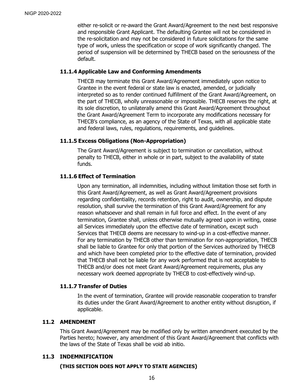either re-solicit or re-award the Grant Award/Agreement to the next best responsive and responsible Grant Applicant. The defaulting Grantee will not be considered in the re-solicitation and may not be considered in future solicitations for the same type of work, unless the specification or scope of work significantly changed. The period of suspension will be determined by THECB based on the seriousness of the default.

# **11.1.4 Applicable Law and Conforming Amendments**

THECB may terminate this Grant Award/Agreement immediately upon notice to Grantee in the event federal or state law is enacted, amended, or judicially interpreted so as to render continued fulfillment of the Grant Award/Agreement, on the part of THECB, wholly unreasonable or impossible. THECB reserves the right, at its sole discretion, to unilaterally amend this Grant Award/Agreement throughout the Grant Award/Agreement Term to incorporate any modifications necessary for THECB's compliance, as an agency of the State of Texas, with all applicable state and federal laws, rules, regulations, requirements, and guidelines.

### **11.1.5 Excess Obligations (Non-Appropriation)**

The Grant Award/Agreement is subject to termination or cancellation, without penalty to THECB, either in whole or in part, subject to the availability of state funds.

### **11.1.6 Effect of Termination**

Upon any termination, all indemnities, including without limitation those set forth in this Grant Award/Agreement, as well as Grant Award/Agreement provisions regarding confidentiality, records retention, right to audit, ownership, and dispute resolution, shall survive the termination of this Grant Award/Agreement for any reason whatsoever and shall remain in full force and effect. In the event of any termination, Grantee shall, unless otherwise mutually agreed upon in writing, cease all Services immediately upon the effective date of termination, except such Services that THECB deems are necessary to wind-up in a cost-effective manner. For any termination by THECB other than termination for non-appropriation, THECB shall be liable to Grantee for only that portion of the Services authorized by THECB and which have been completed prior to the effective date of termination, provided that THECB shall not be liable for any work performed that is not acceptable to THECB and/or does not meet Grant Award/Agreement requirements, plus any necessary work deemed appropriate by THECB to cost-effectively wind-up.

#### **11.1.7 Transfer of Duties**

In the event of termination, Grantee will provide reasonable cooperation to transfer its duties under the Grant Award/Agreement to another entity without disruption, if applicable.

#### <span id="page-19-0"></span>**11.2 AMENDMENT**

This Grant Award/Agreement may be modified only by written amendment executed by the Parties hereto; however, any amendment of this Grant Award/Agreement that conflicts with the laws of the State of Texas shall be void ab initio.

# <span id="page-19-1"></span>**11.3 INDEMNIFICATION**

#### **(THIS SECTION DOES NOT APPLY TO STATE AGENCIES)**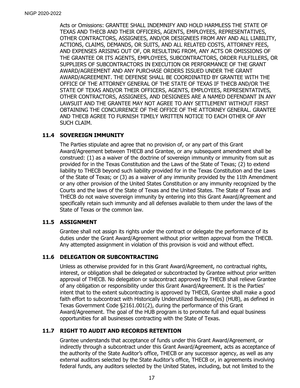Acts or Omissions: GRANTEE SHALL INDEMNIFY AND HOLD HARMLESS THE STATE OF TEXAS AND THECB AND THEIR OFFICERS, AGENTS, EMPLOYEES, REPRESENTATIVES, OTHER CONTRACTORS, ASSIGNEES, AND/OR DESIGNEES FROM ANY AND ALL LIABILITY, ACTIONS, CLAIMS, DEMANDS, OR SUITS, AND ALL RELATED COSTS, ATTORNEY FEES, AND EXPENSES ARISING OUT OF, OR RESULTING FROM, ANY ACTS OR OMISSIONS OF THE GRANTEE OR ITS AGENTS, EMPLOYEES, SUBCONTRACTORS, ORDER FULFILLERS, OR SUPPLIERS OF SUBCONTRACTORS IN EXECUTION OR PERFORMANCE OF THE GRANT AWARD/AGREEMENT AND ANY PURCHASE ORDERS ISSUED UNDER THE GRANT AWARD/AGREEMENT. THE DEFENSE SHALL BE COORDINATED BY GRANTEE WITH THE OFFICE OF THE ATTORNEY GENERAL OF THE STATE OF TEXAS IF THECB AND/OR THE STATE OF TEXAS AND/OR THEIR OFFICERS, AGENTS, EMPLOYEES, REPRESENTATIVES, OTHER CONTRACTORS, ASSIGNEES, AND DESIGNEES ARE A NAMED DEFENDANT IN ANY LAWSUIT AND THE GRANTEE MAY NOT AGREE TO ANY SETTLEMENT WITHOUT FIRST OBTAINING THE CONCURRENCE OF THE OFFICE OF THE ATTORNEY GENERAL. GRANTEE AND THECB AGREE TO FURNISH TIMELY WRITTEN NOTICE TO EACH OTHER OF ANY SUCH CLAIM.

### <span id="page-20-0"></span>**11.4 SOVEREIGN IMMUNITY**

The Parties stipulate and agree that no provision of, or any part of this Grant Award/Agreement between THECB and Grantee, or any subsequent amendment shall be construed: (1) as a waiver of the doctrine of sovereign immunity or immunity from suit as provided for in the Texas Constitution and the Laws of the State of Texas; (2) to extend liability to THECB beyond such liability provided for in the Texas Constitution and the Laws of the State of Texas; or (3) as a waiver of any immunity provided by the 11th Amendment or any other provision of the United States Constitution or any immunity recognized by the Courts and the laws of the State of Texas and the United States. The State of Texas and THECB do not waive sovereign immunity by entering into this Grant Award/Agreement and specifically retain such immunity and all defenses available to them under the laws of the State of Texas or the common law.

#### <span id="page-20-1"></span>**11.5 ASSIGNMENT**

Grantee shall not assign its rights under the contract or delegate the performance of its duties under the Grant Award/Agreement without prior written approval from the THECB. Any attempted assignment in violation of this provision is void and without effect.

#### <span id="page-20-2"></span>**11.6 DELEGATION OR SUBCONTRACTING**

Unless as otherwise provided for in this Grant Award/Agreement, no contractual rights, interest, or obligation shall be delegated or subcontracted by Grantee without prior written approval of THECB. No delegation or subcontract approved by THECB shall relieve Grantee of any obligation or responsibility under this Grant Award/Agreement. It is the Parties' intent that to the extent subcontracting is approved by THECB, Grantee shall make a good faith effort to subcontract with Historically Underutilized Business(es) (HUB), as defined in Texas Government Code §2161.001(2), during the performance of this Grant Award/Agreement. The goal of the HUB program is to promote full and equal business opportunities for all businesses contracting with the State of Texas.

#### <span id="page-20-3"></span>**11.7 RIGHT TO AUDIT AND RECORDS RETENTION**

Grantee understands that acceptance of funds under this Grant Award/Agreement, or indirectly through a subcontract under this Grant Award/Agreement, acts as acceptance of the authority of the State Auditor's office, THECB or any successor agency, as well as any external auditors selected by the State Auditor's office, THECB or, in agreements involving federal funds, any auditors selected by the United States, including, but not limited to the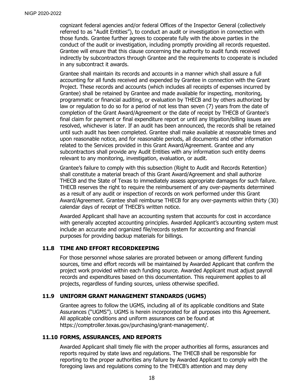cognizant federal agencies and/or federal Offices of the Inspector General (collectively referred to as "Audit Entities"), to conduct an audit or investigation in connection with those funds. Grantee further agrees to cooperate fully with the above parties in the conduct of the audit or investigation, including promptly providing all records requested. Grantee will ensure that this clause concerning the authority to audit funds received indirectly by subcontractors through Grantee and the requirements to cooperate is included in any subcontract it awards.

Grantee shall maintain its records and accounts in a manner which shall assure a full accounting for all funds received and expended by Grantee in connection with the Grant Project. These records and accounts (which includes all receipts of expenses incurred by Grantee) shall be retained by Grantee and made available for inspecting, monitoring, programmatic or financial auditing, or evaluation by THECB and by others authorized by law or regulation to do so for a period of not less than seven (7) years from the date of completion of the Grant Award/Agreement or the date of receipt by THECB of Grantee's final claim for payment or final expenditure report or until any litigation/billing issues are resolved, whichever is later. If an audit has been announced, the records shall be retained until such audit has been completed. Grantee shall make available at reasonable times and upon reasonable notice, and for reasonable periods, all documents and other information related to the Services provided in this Grant Award/Agreement. Grantee and any subcontractors shall provide any Audit Entities with any information such entity deems relevant to any monitoring, investigation, evaluation, or audit.

Grantee's failure to comply with this subsection (Right to Audit and Records Retention) shall constitute a material breach of this Grant Award/Agreement and shall authorize THECB and the State of Texas to immediately assess appropriate damages for such failure. THECB reserves the right to require the reimbursement of any over-payments determined as a result of any audit or inspection of records on work performed under this Grant Award/Agreement. Grantee shall reimburse THECB for any over-payments within thirty (30) calendar days of receipt of THECB's written notice.

Awarded Applicant shall have an accounting system that accounts for cost in accordance with generally accepted accounting principles. Awarded Applicant's accounting system must include an accurate and organized file/records system for accounting and financial purposes for providing backup materials for billings.

#### <span id="page-21-0"></span>**11.8 TIME AND EFFORT RECORDKEEPING**

For those personnel whose salaries are prorated between or among different funding sources, time and effort records will be maintained by Awarded Applicant that confirm the project work provided within each funding source. Awarded Applicant must adjust payroll records and expenditures based on this documentation. This requirement applies to all projects, regardless of funding sources, unless otherwise specified.

#### <span id="page-21-1"></span>**11.9 UNIFORM GRANT MANAGEMENT STANDARDS (UGMS)**

Grantee agrees to follow the UGMS, including all of its applicable conditions and State Assurances ("UGMS"). UGMS is herein incorporated for all purposes into this Agreement. All applicable conditions and uniform assurances can be found at [https://comptroller.texas.gov/purchasing/grant-management/.](https://comptroller.texas.gov/purchasing/grant-management/)

# <span id="page-21-2"></span>**11.10 FORMS, ASSURANCES, AND REPORTS**

Awarded Applicant shall timely file with the proper authorities all forms, assurances and reports required by state laws and regulations. The THECB shall be responsible for reporting to the proper authorities any failure by Awarded Applicant to comply with the foregoing laws and regulations coming to the THECB's attention and may deny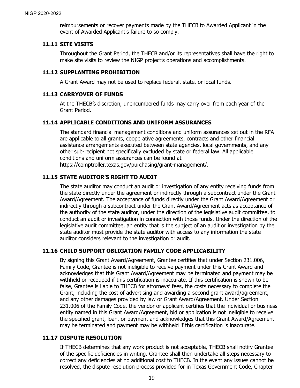reimbursements or recover payments made by the THECB to Awarded Applicant in the event of Awarded Applicant's failure to so comply.

#### <span id="page-22-0"></span>**11.11 SITE VISITS**

Throughout the Grant Period, the THECB and/or its representatives shall have the right to make site visits to review the NIGP project's operations and accomplishments.

# <span id="page-22-1"></span>**11.12 SUPPLANTING PROHIBITION**

A Grant Award may not be used to replace federal, state, or local funds.

# <span id="page-22-2"></span>**11.13 CARRYOVER OF FUNDS**

At the THECB's discretion, unencumbered funds may carry over from each year of the Grant Period.

### <span id="page-22-3"></span>**11.14 APPLICABLE CONDITIONS AND UNIFORM ASSURANCES**

The standard financial management conditions and uniform assurances set out in the RFA are applicable to all grants, cooperative agreements, contracts and other financial assistance arrangements executed between state agencies, local governments, and any other sub-recipient not specifically excluded by state or federal law. All applicable conditions and uniform assurances can be found at https://comptroller.texas.gov/purchasing/grant-management/.

### <span id="page-22-4"></span>**11.15 STATE AUDITOR'S RIGHT TO AUDIT**

The state auditor may conduct an audit or investigation of any entity receiving funds from the state directly under the agreement or indirectly through a subcontract under the Grant Award/Agreement. The acceptance of funds directly under the Grant Award/Agreement or indirectly through a subcontract under the Grant Award/Agreement acts as acceptance of the authority of the state auditor, under the direction of the legislative audit committee, to conduct an audit or investigation in connection with those funds. Under the direction of the legislative audit committee, an entity that is the subject of an audit or investigation by the state auditor must provide the state auditor with access to any information the state auditor considers relevant to the investigation or audit.

# <span id="page-22-5"></span>**11.16 CHILD SUPPORT OBLIGATION FAMILY CODE APPLICABILITY**

By signing this Grant Award/Agreement, Grantee certifies that under Section 231.006, Family Code, Grantee is not ineligible to receive payment under this Grant Award and acknowledges that this Grant Award/Agreement may be terminated and payment may be withheld or recouped if this certification is inaccurate. If this certification is shown to be false, Grantee is liable to THECB for attorneys' fees, the costs necessary to complete the Grant, including the cost of advertising and awarding a second grant award/agreement, and any other damages provided by law or Grant Award/Agreement. Under Section 231.006 of the Family Code, the vendor or applicant certifies that the individual or business entity named in this Grant Award/Agreement, bid or application is not ineligible to receive the specified grant, loan, or payment and acknowledges that this Grant Award/Agreement may be terminated and payment may be withheld if this certification is inaccurate.

#### <span id="page-22-6"></span>**11.17 DISPUTE RESOLUTION**

If THECB determines that any work product is not acceptable, THECB shall notify Grantee of the specific deficiencies in writing. Grantee shall then undertake all steps necessary to correct any deficiencies at no additional cost to THECB. In the event any issues cannot be resolved, the dispute resolution process provided for in Texas Government Code, Chapter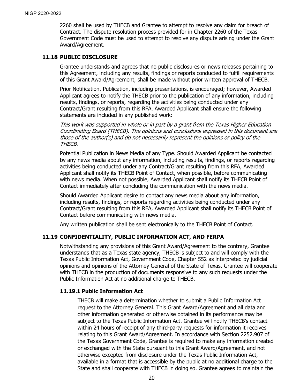2260 shall be used by THECB and Grantee to attempt to resolve any claim for breach of Contract. The dispute resolution process provided for in Chapter 2260 of the Texas Government Code must be used to attempt to resolve any dispute arising under the Grant Award/Agreement.

#### <span id="page-23-0"></span>**11.18 PUBLIC DISCLOSURE**

Grantee understands and agrees that no public disclosures or news releases pertaining to this Agreement, including any results, findings or reports conducted to fulfill requirements of this Grant Award/Agreement, shall be made without prior written approval of THECB.

Prior Notification. Publication, including presentations, is encouraged; however, Awarded Applicant agrees to notify the THECB prior to the publication of any information, including results, findings, or reports, regarding the activities being conducted under any Contract/Grant resulting from this RFA. Awarded Applicant shall ensure the following statements are included in any published work:

This work was supported in whole or in part by a grant from the Texas Higher Education Coordinating Board (THECB). The opinions and conclusions expressed in this document are those of the author(s) and do not necessarily represent the opinions or policy of the THECB.

Potential Publication in News Media of any Type. Should Awarded Applicant be contacted by any news media about any information, including results, findings, or reports regarding activities being conducted under any Contract/Grant resulting from this RFA, Awarded Applicant shall notify its THECB Point of Contact, when possible, before communicating with news media. When not possible, Awarded Applicant shall notify its THECB Point of Contact immediately after concluding the communication with the news media.

Should Awarded Applicant desire to contact any news media about any information, including results, findings, or reports regarding activities being conducted under any Contract/Grant resulting from this RFA, Awarded Applicant shall notify its THECB Point of Contact before communicating with news media.

Any written publication shall be sent electronically to the THECB Point of Contact.

#### <span id="page-23-1"></span>**11.19 CONFIDENTIALITY, PUBLIC INFORMATION ACT, AND FERPA**

Notwithstanding any provisions of this Grant Award/Agreement to the contrary, Grantee understands that as a Texas state agency, THECB is subject to and will comply with the Texas Public Information Act, Government Code, Chapter 552 as interpreted by judicial opinions and opinions of the Attorney General of the State of Texas. Grantee will cooperate with THECB in the production of documents responsive to any such requests under the Public Information Act at no additional charge to THECB.

#### **11.19.1 Public Information Act**

THECB will make a determination whether to submit a Public Information Act request to the Attorney General. This Grant Award/Agreement and all data and other information generated or otherwise obtained in its performance may be subject to the Texas Public Information Act. Grantee will notify THECB's contact within 24 hours of receipt of any third-party requests for information it receives relating to this Grant Award/Agreement. In accordance with Section 2252.907 of the Texas Government Code, Grantee is required to make any information created or exchanged with the State pursuant to this Grant Award/Agreement, and not otherwise excepted from disclosure under the Texas Public Information Act, available in a format that is accessible by the public at no additional charge to the State and shall cooperate with THECB in doing so. Grantee agrees to maintain the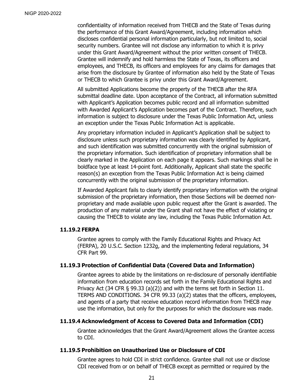confidentiality of information received from THECB and the State of Texas during the performance of this Grant Award/Agreement, including information which discloses confidential personal information particularly, but not limited to, social security numbers. Grantee will not disclose any information to which it is privy under this Grant Award/Agreement without the prior written consent of THECB. Grantee will indemnify and hold harmless the State of Texas, its officers and employees, and THECB, its officers and employees for any claims for damages that arise from the disclosure by Grantee of information also held by the State of Texas or THECB to which Grantee is privy under this Grant Award/Agreement.

All submitted Applications become the property of the THECB after the RFA submittal deadline date. Upon acceptance of the Contract, all information submitted with Applicant's Application becomes public record and all information submitted with Awarded Applicant's Application becomes part of the Contract. Therefore, such information is subject to disclosure under the Texas Public Information Act, unless an exception under the Texas Public Information Act is applicable.

Any proprietary information included in Applicant's Application shall be subject to disclosure unless such proprietary information was clearly identified by Applicant, and such identification was submitted concurrently with the original submission of the proprietary information. Such identification of proprietary information shall be clearly marked in the Application on each page it appears. Such markings shall be in boldface type at least 14-point font. Additionally, Applicant shall state the specific reason(s) an exception from the Texas Public Information Act is being claimed concurrently with the original submission of the proprietary information.

If Awarded Applicant fails to clearly identify proprietary information with the original submission of the proprietary information, then those Sections will be deemed nonproprietary and made available upon public request after the Grant is awarded. The production of any material under the Grant shall not have the effect of violating or causing the THECB to violate any law, including the Texas Public Information Act.

# **11.19.2 FERPA**

Grantee agrees to comply with the Family Educational Rights and Privacy Act (FERPA), 20 U.S.C. Section 1232g, and the implementing federal regulations, 34 CFR Part 99.

# **11.19.3 Protection of Confidential Data (Covered Data and Information)**

Grantee agrees to abide by the limitations on re-disclosure of personally identifiable information from education records set forth in the Family Educational Rights and Privacy Act (34 CFR § 99.33 (a)(2)) and with the terms set forth in Section 11. TERMS AND CONDITIONS. 34 CFR 99.33 (a)(2) states that the officers, employees, and agents of a party that receive education record information from THECB may use the information, but only for the purposes for which the disclosure was made.

# **11.19.4 Acknowledgment of Access to Covered Data and Information (CDI)**

Grantee acknowledges that the Grant Award/Agreement allows the Grantee access to CDI.

#### **11.19.5 Prohibition on Unauthorized Use or Disclosure of CDI**

Grantee agrees to hold CDI in strict confidence. Grantee shall not use or disclose CDI received from or on behalf of THECB except as permitted or required by the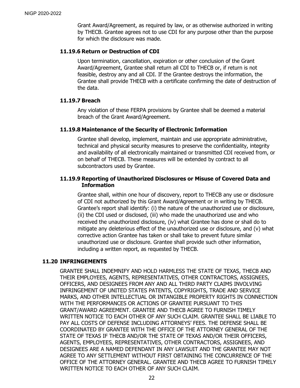Grant Award/Agreement, as required by law, or as otherwise authorized in writing by THECB. Grantee agrees not to use CDI for any purpose other than the purpose for which the disclosure was made.

# **11.19.6 Return or Destruction of CDI**

Upon termination, cancellation, expiration or other conclusion of the Grant Award/Agreement, Grantee shall return all CDI to THECB or, if return is not feasible, destroy any and all CDI. If the Grantee destroys the information, the Grantee shall provide THECB with a certificate confirming the date of destruction of the data.

### **11.19.7 Breach**

Any violation of these FERPA provisions by Grantee shall be deemed a material breach of the Grant Award/Agreement.

### **11.19.8 Maintenance of the Security of Electronic Information**

Grantee shall develop, implement, maintain and use appropriate administrative, technical and physical security measures to preserve the confidentiality, integrity and availability of all electronically maintained or transmitted CDI received from, or on behalf of THECB. These measures will be extended by contract to all subcontractors used by Grantee.

# **11.19.9 Reporting of Unauthorized Disclosures or Misuse of Covered Data and Information**

Grantee shall, within one hour of discovery, report to THECB any use or disclosure of CDI not authorized by this Grant Award/Agreement or in writing by THECB. Grantee's report shall identify: (i) the nature of the unauthorized use or disclosure, (ii) the CDI used or disclosed, (iii) who made the unauthorized use and who received the unauthorized disclosure, (iv) what Grantee has done or shall do to mitigate any deleterious effect of the unauthorized use or disclosure, and (v) what corrective action Grantee has taken or shall take to prevent future similar unauthorized use or disclosure. Grantee shall provide such other information, including a written report, as requested by THECB.

# <span id="page-25-0"></span>**11.20 INFRINGEMENTS**

GRANTEE SHALL INDEMNIFY AND HOLD HARMLESS THE STATE OF TEXAS, THECB AND THEIR EMPLOYEES, AGENTS, REPRESENTATIVES, OTHER CONTRACTORS, ASSIGNEES, OFFICERS, AND DESIGNEES FROM ANY AND ALL THIRD PARTY CLAIMS INVOLVING INFRINGEMENT OF UNITED STATES PATENTS, COPYRIGHTS, TRADE AND SERVICE MARKS, AND OTHER INTELLECTUAL OR INTANGIBLE PROPERTY RIGHTS IN CONNECTION WITH THE PERFORMANCES OR ACTIONS OF GRANTEE PURSUANT TO THIS GRANT/AWARD AGREEMENT. GRANTEE AND THECB AGREE TO FURNISH TIMELY WRITTEN NOTICE TO EACH OTHER OF ANY SUCH CLAIM. GRANTEE SHALL BE LIABLE TO PAY ALL COSTS OF DEFENSE INCLUDING ATTORNEYS' FEES. THE DEFENSE SHALL BE COORDINATED BY GRANTEE WITH THE OFFICE OF THE ATTORNEY GENERAL OF THE STATE OF TEXAS IF THECB AND/OR THE STATE OF TEXAS AND/OR THEIR OFFICERS, AGENTS, EMPLOYEES, REPRESENTATIVES, OTHER CONTRACTORS, ASSIGNEES, AND DESIGNEES ARE A NAMED DEFENDANT IN ANY LAWSUIT AND THE GRANTEE MAY NOT AGREE TO ANY SETTLEMENT WITHOUT FIRST OBTAINING THE CONCURRENCE OF THE OFFICE OF THE ATTORNEY GENERAL. GRANTEE AND THECB AGREE TO FURNISH TIMELY WRITTEN NOTICE TO EACH OTHER OF ANY SUCH CLAIM.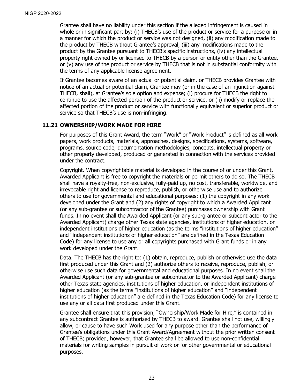Grantee shall have no liability under this section if the alleged infringement is caused in whole or in significant part by: (i) THECB's use of the product or service for a purpose or in a manner for which the product or service was not designed, (ii) any modification made to the product by THECB without Grantee's approval, (iii) any modifications made to the product by the Grantee pursuant to THECB's specific instructions, (iv) any intellectual property right owned by or licensed to THECB by a person or entity other than the Grantee, or (v) any use of the product or service by THECB that is not in substantial conformity with the terms of any applicable license agreement.

If Grantee becomes aware of an actual or potential claim, or THECB provides Grantee with notice of an actual or potential claim, Grantee may (or in the case of an injunction against THECB, shall), at Grantee's sole option and expense; (i) procure for THECB the right to continue to use the affected portion of the product or service, or (ii) modify or replace the affected portion of the product or service with functionally equivalent or superior product or service so that THECB's use is non-infringing.

### <span id="page-26-0"></span>**11.21 OWNERSHIP/WORK MADE FOR HIRE**

For purposes of this Grant Award, the term "Work" or "Work Product" is defined as all work papers, work products, materials, approaches, designs, specifications, systems, software, programs, source code, documentation methodologies, concepts, intellectual property or other property developed, produced or generated in connection with the services provided under the contract.

Copyright. When copyrightable material is developed in the course of or under this Grant, Awarded Applicant is free to copyright the materials or permit others to do so. The THECB shall have a royalty-free, non-exclusive, fully-paid up, no cost, transferable, worldwide, and irrevocable right and license to reproduce, publish, or otherwise use and to authorize others to use for governmental and educational purposes: (1) the copyright in any work developed under the Grant and (2) any rights of copyright to which a Awarded Applicant (or any sub-grantee or subcontractor of the Grantee) purchases ownership with Grant funds. In no event shall the Awarded Applicant (or any sub-grantee or subcontractor to the Awarded Applicant) charge other Texas state agencies, institutions of higher education, or independent institutions of higher education (as the terms "institutions of higher education" and "independent institutions of higher education" are defined in the Texas Education Code) for any license to use any or all copyrights purchased with Grant funds or in any work developed under the Grant.

Data. The THECB has the right to: (1) obtain, reproduce, publish or otherwise use the data first produced under this Grant and (2) authorize others to receive, reproduce, publish, or otherwise use such data for governmental and educational purposes. In no event shall the Awarded Applicant (or any sub-grantee or subcontractor to the Awarded Applicant) charge other Texas state agencies, institutions of higher education, or independent institutions of higher education (as the terms "institutions of higher education" and "independent institutions of higher education" are defined in the Texas Education Code) for any license to use any or all data first produced under this Grant.

Grantee shall ensure that this provision, "Ownership/Work Made for Hire," is contained in any subcontract Grantee is authorized by THECB to award. Grantee shall not use, willingly allow, or cause to have such Work used for any purpose other than the performance of Grantee's obligations under this Grant Award/Agreement without the prior written consent of THECB; provided, however, that Grantee shall be allowed to use non-confidential materials for writing samples in pursuit of work or for other governmental or educational purposes.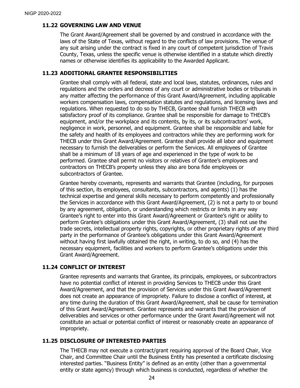### <span id="page-27-0"></span>**11.22 GOVERNING LAW AND VENUE**

The Grant Award/Agreement shall be governed by and construed in accordance with the laws of the State of Texas, without regard to the conflicts of law provisions. The venue of any suit arising under the contract is fixed in any court of competent jurisdiction of Travis County, Texas, unless the specific venue is otherwise identified in a statute which directly names or otherwise identifies its applicability to the Awarded Applicant.

#### <span id="page-27-1"></span>**11.23 ADDITIONAL GRANTEE RESPONSIBILITIES**

Grantee shall comply with all federal, state and local laws, statutes, ordinances, rules and regulations and the orders and decrees of any court or administrative bodies or tribunals in any matter affecting the performance of this Grant Award/Agreement, including applicable workers compensation laws, compensation statutes and regulations, and licensing laws and regulations. When requested to do so by THECB, Grantee shall furnish THECB with satisfactory proof of its compliance. Grantee shall be responsible for damage to THECB's equipment, and/or the workplace and its contents, by its, or its subcontractors' work, negligence in work, personnel, and equipment. Grantee shall be responsible and liable for the safety and health of its employees and contractors while they are performing work for THECB under this Grant Award/Agreement. Grantee shall provide all labor and equipment necessary to furnish the deliverables or perform the Services. All employees of Grantee shall be a minimum of 18 years of age and experienced in the type of work to be performed. Grantee shall permit no visitors or relatives of Grantee's employees and contractors on THECB's property unless they also are bona fide employees or subcontractors of Grantee.

Grantee hereby covenants, represents and warrants that Grantee (including, for purposes of this section, its employees, consultants, subcontractors, and agents) (1) has the technical expertise and general skills necessary to perform competently and professionally the Services in accordance with this Grant Award/Agreement, (2) is not a party to or bound by any agreement, obligation, or understanding which restricts or limits in any way Grantee's right to enter into this Grant Award/Agreement or Grantee's right or ability to perform Grantee's obligations under this Grant Award/Agreement, (3) shall not use the trade secrets, intellectual property rights, copyrights, or other proprietary rights of any third party in the performance of Grantee's obligations under this Grant Award/Agreement without having first lawfully obtained the right, in writing, to do so, and (4) has the necessary equipment, facilities and workers to perform Grantee's obligations under this Grant Award/Agreement.

# <span id="page-27-2"></span>**11.24 CONFLICT OF INTEREST**

Grantee represents and warrants that Grantee, its principals, employees, or subcontractors have no potential conflict of interest in providing Services to THECB under this Grant Award/Agreement, and that the provision of Services under this Grant Award/Agreement does not create an appearance of impropriety. Failure to disclose a conflict of interest, at any time during the duration of this Grant Award/Agreement, shall be cause for termination of this Grant Award/Agreement. Grantee represents and warrants that the provision of deliverables and services or other performance under the Grant Award/Agreement will not constitute an actual or potential conflict of interest or reasonably create an appearance of impropriety.

# <span id="page-27-3"></span>**11.25 DISCLOSURE OF INTERESTED PARTIES**

The THECB may not execute a contract/grant requiring approval of the Board Chair, Vice Chair, and Committee Chair until the Business Entity has presented a certificate disclosing interested parties. "Business Entity" is defined as an entity (other than a governmental entity or state agency) through which business is conducted, regardless of whether the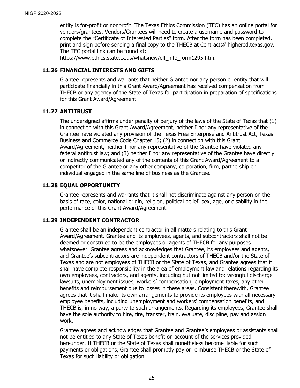entity is for-profit or nonprofit. The Texas Ethics Commission (TEC) has an online portal for vendors/grantees. Vendors/Grantees will need to create a username and password to complete the "Certificate of Interested Parties" form. After the form has been completed, print and sign before sending a final copy to the THECB at Contracts@highered.texas.gov. The TEC portal link can be found at:

https://www.ethics.state.tx.us/whatsnew/elf\_info\_form1295.htm.

#### <span id="page-28-0"></span>**11.26 FINANCIAL INTERESTS AND GIFTS**

Grantee represents and warrants that neither Grantee nor any person or entity that will participate financially in this Grant Award/Agreement has received compensation from THECB or any agency of the State of Texas for participation in preparation of specifications for this Grant Award/Agreement.

### <span id="page-28-1"></span>**11.27 ANTITRUST**

The undersigned affirms under penalty of perjury of the laws of the State of Texas that (1) in connection with this Grant Award/Agreement, neither I nor any representative of the Grantee have violated any provision of the Texas Free Enterprise and Antitrust Act, Texas Business and Commerce Code Chapter 15; (2) in connection with this Grant Award/Agreement, neither I nor any representative of the Grantee have violated any federal antitrust law; and (3) neither I nor any representative of the Grantee have directly or indirectly communicated any of the contents of this Grant Award/Agreement to a competitor of the Grantee or any other company, corporation, firm, partnership or individual engaged in the same line of business as the Grantee.

# <span id="page-28-2"></span>**11.28 EQUAL OPPORTUNITY**

Grantee represents and warrants that it shall not discriminate against any person on the basis of race, color, national origin, religion, political belief, sex, age, or disability in the performance of this Grant Award/Agreement.

#### <span id="page-28-3"></span>**11.29 INDEPENDENT CONTRACTOR**

Grantee shall be an independent contractor in all matters relating to this Grant Award/Agreement. Grantee and its employees, agents, and subcontractors shall not be deemed or construed to be the employees or agents of THECB for any purposes whatsoever. Grantee agrees and acknowledges that Grantee, its employees and agents, and Grantee's subcontractors are independent contractors of THECB and/or the State of Texas and are not employees of THECB or the State of Texas, and Grantee agrees that it shall have complete responsibility in the area of employment law and relations regarding its own employees, contractors, and agents, including but not limited to: wrongful discharge lawsuits, unemployment issues, workers' compensation, employment taxes, any other benefits and reimbursement due to losses in these areas. Consistent therewith, Grantee agrees that it shall make its own arrangements to provide its employees with all necessary employee benefits, including unemployment and workers' compensation benefits, and THECB is, in no way, a party to such arrangements. Regarding its employees, Grantee shall have the sole authority to hire, fire, transfer, train, evaluate, discipline, pay and assign work.

Grantee agrees and acknowledges that Grantee and Grantee's employees or assistants shall not be entitled to any State of Texas benefit on account of the services provided hereunder. If THECB or the State of Texas shall nonetheless become liable for such payments or obligations, Grantee shall promptly pay or reimburse THECB or the State of Texas for such liability or obligation.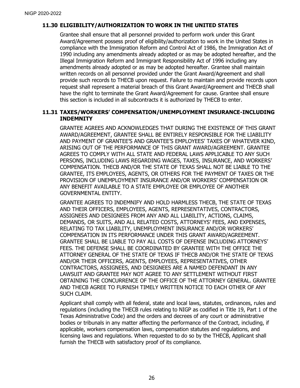# <span id="page-29-0"></span>**11.30 ELIGIBILITY/AUTHORIZATION TO WORK IN THE UNITED STATES**

Grantee shall ensure that all personnel provided to perform work under this Grant Award/Agreement possess proof of eligibility/authorization to work in the United States in compliance with the Immigration Reform and Control Act of 1986, the Immigration Act of 1990 including any amendments already adopted or as may be adopted hereafter, and the Illegal Immigration Reform and Immigrant Responsibility Act of 1996 including any amendments already adopted or as may be adopted hereafter. Grantee shall maintain written records on all personnel provided under the Grant Award/Agreement and shall provide such records to THECB upon request. Failure to maintain and provide records upon request shall represent a material breach of this Grant Award/Agreement and THECB shall have the right to terminate the Grant Award/Agreement for cause. Grantee shall ensure this section is included in all subcontracts it is authorized by THECB to enter.

#### <span id="page-29-1"></span>**11.31 TAXES/WORKERS' COMPENSATION/UNEMPLOYMENT INSURANCE-INCLUDING INDEMNITY**

GRANTEE AGREES AND ACKNOWLEDGES THAT DURING THE EXISTENCE OF THIS GRANT AWARD/AGREEMENT, GRANTEE SHALL BE ENTIRELY RESPONSIBLE FOR THE LIABILITY AND PAYMENT OF GRANTEE'S AND GRANTEE'S EMPLOYEES' TAXES OF WHATEVER KIND, ARISING OUT OF THE PERFORMANCE OF THIS GRANT AWARD/AGREEMENT. GRANTEE AGREES TO COMPLY WITH ALL STATE AND FEDERAL LAWS APPLICABLE TO ANY SUCH PERSONS, INCLUDING LAWS REGARDING WAGES, TAXES, INSURANCE, AND WORKERS' COMPENSATION. THECB AND/OR THE STATE OF TEXAS SHALL NOT BE LIABLE TO THE GRANTEE, ITS EMPLOYEES, AGENTS, OR OTHERS FOR THE PAYMENT OF TAXES OR THE PROVISION OF UNEMPLOYMENT INSURANCE AND/OR WORKERS' COMPENSATION OR ANY BENEFIT AVAILABLE TO A STATE EMPLOYEE OR EMPLOYEE OF ANOTHER GOVERNMENTAL ENTITY.

GRANTEE AGREES TO INDEMNIFY AND HOLD HARMLESS THECB, THE STATE OF TEXAS AND THEIR OFFICERS, EMPLOYEES, AGENTS, REPRESENTATIVES, CONTRACTORS, ASSIGNEES AND DESIGNEES FROM ANY AND ALL LIABILITY, ACTIONS, CLAIMS, DEMANDS, OR SUITS, AND ALL RELATED COSTS, ATTORNEYS' FEES, AND EXPENSES, RELATING TO TAX LIABILITY, UNEMPLOYMENT INSURANCE AND/OR WORKERS' COMPENSATION IN ITS PERFORMANCE UNDER THIS GRANT AWARD/AGREEMENT. GRANTEE SHALL BE LIABLE TO PAY ALL COSTS OF DEFENSE INCLUDING ATTORNEYS' FEES. THE DEFENSE SHALL BE COORDINATED BY GRANTEE WITH THE OFFICE THE ATTORNEY GENERAL OF THE STATE OF TEXAS IF THECB AND/OR THE STATE OF TEXAS AND/OR THEIR OFFICERS, AGENTS, EMPLOYEES, REPRESENTATIVES, OTHER CONTRACTORS, ASSIGNEES, AND DESIGNEES ARE A NAMED DEFENDANT IN ANY LAWSUIT AND GRANTEE MAY NOT AGREE TO ANY SETTLEMENT WITHOUT FIRST OBTAINING THE CONCURRENCE OF THE OFFICE OF THE ATTORNEY GENERAL. GRANTEE AND THECB AGREE TO FURNISH TIMELY WRITTEN NOTICE TO EACH OTHER OF ANY SUCH CLAIM.

Applicant shall comply with all federal, state and local laws, statutes, ordinances, rules and regulations (including the THECB rules relating to NIGP as codified in Title 19, Part 1 of the Texas Administrative Code) and the orders and decrees of any court or administrative bodies or tribunals in any matter affecting the performance of the Contract, including, if applicable, workers compensation laws, compensation statutes and regulations, and licensing laws and regulations. When requested to do so by the THECB, Applicant shall furnish the THECB with satisfactory proof of its compliance.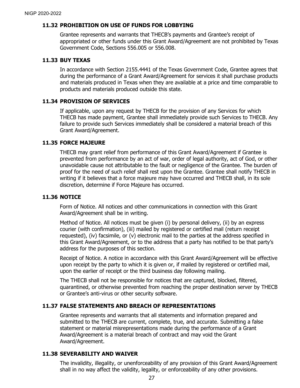#### <span id="page-30-0"></span>**11.32 PROHIBITION ON USE OF FUNDS FOR LOBBYING**

Grantee represents and warrants that THECB's payments and Grantee's receipt of appropriated or other funds under this Grant Award/Agreement are not prohibited by Texas Government Code, Sections 556.005 or 556.008.

#### <span id="page-30-1"></span>**11.33 BUY TEXAS**

In accordance with Section 2155.4441 of the Texas Government Code, Grantee agrees that during the performance of a Grant Award/Agreement for services it shall purchase products and materials produced in Texas when they are available at a price and time comparable to products and materials produced outside this state.

#### <span id="page-30-2"></span>**11.34 PROVISION OF SERVICES**

If applicable, upon any request by THECB for the provision of any Services for which THECB has made payment, Grantee shall immediately provide such Services to THECB. Any failure to provide such Services immediately shall be considered a material breach of this Grant Award/Agreement.

### <span id="page-30-3"></span>**11.35 FORCE MAJEURE**

THECB may grant relief from performance of this Grant Award/Agreement if Grantee is prevented from performance by an act of war, order of legal authority, act of God, or other unavoidable cause not attributable to the fault or negligence of the Grantee. The burden of proof for the need of such relief shall rest upon the Grantee. Grantee shall notify THECB in writing if it believes that a force majeure may have occurred and THECB shall, in its sole discretion, determine if Force Majeure has occurred.

# <span id="page-30-4"></span>**11.36 NOTICE**

Form of Notice. All notices and other communications in connection with this Grant Award/Agreement shall be in writing.

Method of Notice. All notices must be given (i) by personal delivery, (ii) by an express courier (with confirmation), (iii) mailed by registered or certified mail (return receipt requested), (iv) facsimile, or (v) electronic mail to the parties at the address specified in this Grant Award/Agreement, or to the address that a party has notified to be that party's address for the purposes of this section.

Receipt of Notice. A notice in accordance with this Grant Award/Agreement will be effective upon receipt by the party to which it is given or, if mailed by registered or certified mail, upon the earlier of receipt or the third business day following mailing.

The THECB shall not be responsible for notices that are captured, blocked, filtered, quarantined, or otherwise prevented from reaching the proper destination server by THECB or Grantee's anti-virus or other security software.

# <span id="page-30-5"></span>**11.37 FALSE STATEMENTS AND BREACH OF REPRESENTATIONS**

Grantee represents and warrants that all statements and information prepared and submitted to the THECB are current, complete, true, and accurate. Submitting a false statement or material misrepresentations made during the performance of a Grant Award/Agreement is a material breach of contract and may void the Grant Award/Agreement.

# <span id="page-30-6"></span>**11.38 SEVERABILITY AND WAIVER**

The invalidity, illegality, or unenforceability of any provision of this Grant Award/Agreement shall in no way affect the validity, legality, or enforceability of any other provisions.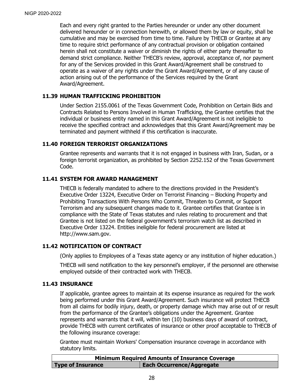Each and every right granted to the Parties hereunder or under any other document delivered hereunder or in connection herewith, or allowed them by law or equity, shall be cumulative and may be exercised from time to time. Failure by THECB or Grantee at any time to require strict performance of any contractual provision or obligation contained herein shall not constitute a waiver or diminish the rights of either party thereafter to demand strict compliance. Neither THECB's review, approval, acceptance of, nor payment for any of the Services provided in this Grant Award/Agreement shall be construed to operate as a waiver of any rights under the Grant Award/Agreement, or of any cause of action arising out of the performance of the Services required by the Grant Award/Agreement.

#### <span id="page-31-0"></span>**11.39 HUMAN TRAFFICKING PROHIBITION**

Under Section 2155.0061 of the Texas Government Code, Prohibition on Certain Bids and Contracts Related to Persons Involved in Human Trafficking, the Grantee certifies that the individual or business entity named in this Grant Award/Agreement is not ineligible to receive the specified contract and acknowledges that this Grant Award/Agreement may be terminated and payment withheld if this certification is inaccurate.

#### <span id="page-31-1"></span>**11.40 FOREIGN TERRORIST ORGANIZATIONS**

Grantee represents and warrants that it is not engaged in business with Iran, Sudan, or a foreign terrorist organization, as prohibited by Section 2252.152 of the Texas Government Code.

#### <span id="page-31-2"></span>**11.41 SYSTEM FOR AWARD MANAGEMENT**

THECB is federally mandated to adhere to the directions provided in the President's Executive Order 13224, Executive Order on Terrorist Financing – Blocking Property and Prohibiting Transactions With Persons Who Commit, Threaten to Commit, or Support Terrorism and any subsequent changes made to it. Grantee certifies that Grantee is in compliance with the State of Texas statutes and rules relating to procurement and that Grantee is not listed on the federal government's terrorism watch list as described in Executive Order 13224. Entities ineligible for federal procurement are listed at [http://www.sam.gov.](http://www.sam.gov/)

#### <span id="page-31-3"></span>**11.42 NOTIFICATION OF CONTRACT**

(Only applies to Employees of a Texas state agency or any institution of higher education.)

THECB will send notification to the key personnel's employer, if the personnel are otherwise employed outside of their contracted work with THECB.

#### <span id="page-31-4"></span>**11.43 INSURANCE**

If applicable, grantee agrees to maintain at its expense insurance as required for the work being performed under this Grant Award/Agreement. Such insurance will protect THECB from all claims for bodily injury, death, or property damage which may arise out of or result from the performance of the Grantee's obligations under the Agreement. Grantee represents and warrants that it will, within ten (10) business days of award of contract, provide THECB with current certificates of insurance or other proof acceptable to THECB of the following insurance coverage:

Grantee must maintain Workers' Compensation insurance coverage in accordance with statutory limits.

| <b>Minimum Required Amounts of Insurance Coverage</b> |                                  |  |
|-------------------------------------------------------|----------------------------------|--|
| <b>Type of Insurance</b>                              | <b>Each Occurrence/Aggregate</b> |  |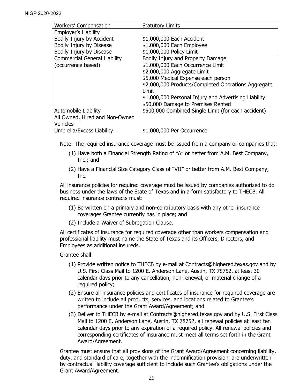| <b>Workers' Compensation</b>        | <b>Statutory Limits</b>                                       |
|-------------------------------------|---------------------------------------------------------------|
|                                     |                                                               |
| Employer's Liability                |                                                               |
| Bodily Injury by Accident           | \$1,000,000 Each Accident                                     |
| Bodily Injury by Disease            | \$1,000,000 Each Employee                                     |
| Bodily Injury by Disease            | \$1,000,000 Policy Limit                                      |
| <b>Commercial General Liability</b> | Bodily Injury and Property Damage                             |
| (occurrence based)                  | \$1,000,000 Each Occurrence Limit                             |
|                                     | \$2,000,000 Aggregate Limit                                   |
|                                     | \$5,000 Medical Expense each person                           |
|                                     | \$2,000,000 Products/Completed Operations Aggregate<br>I imit |
|                                     | \$1,000,000 Personal Injury and Advertising Liability         |
|                                     | \$50,000 Damage to Premises Rented                            |
| Automobile Liability                | \$500,000 Combined Single Limit (for each accident)           |
| All Owned, Hired and Non-Owned      |                                                               |
| <b>Vehicles</b>                     |                                                               |
| Umbrella/Excess Liability           | \$1,000,000 Per Occurrence                                    |

Note: The required insurance coverage must be issued from a company or companies that:

- (1) Have both a Financial Strength Rating of "A" or better from A.M. Best Company, Inc.; and
- (2) Have a Financial Size Category Class of "VII" or better from A.M. Best Company, Inc.

All insurance policies for required coverage must be issued by companies authorized to do business under the laws of the State of Texas and in a form satisfactory to THECB. All required insurance contracts must:

- (1) Be written on a primary and non-contributory basis with any other insurance coverages Grantee currently has in place; and
- (2) Include a Waiver of Subrogation Clause.

All certificates of insurance for required coverage other than workers compensation and professional liability must name the State of Texas and its Officers, Directors, and Employees as additional insureds.

Grantee shall:

- (1) Provide written notice to THECB by e-mail at Contracts@highered.texas.gov and by U.S. First Class Mail to 1200 E. Anderson Lane, Austin, TX 78752, at least 30 calendar days prior to any cancellation, non-renewal, or material change of a required policy;
- (2) Ensure all insurance policies and certificates of insurance for required coverage are written to include all products, services, and locations related to Grantee's performance under the Grant Award/Agreement; and
- (3) Deliver to THECB by e-mail at Contracts@highered.texas.gov and by U.S. First Class Mail to 1200 E. Anderson Lane, Austin, TX 78752, all renewal policies at least ten calendar days prior to any expiration of a required policy. All renewal policies and corresponding certificates of insurance must meet all terms set forth in the Grant Award/Agreement.

Grantee must ensure that all provisions of the Grant Award/Agreement concerning liability, duty, and standard of care, together with the indemnification provision, are underwritten by contractual liability coverage sufficient to include such Grantee's obligations under the Grant Award/Agreement.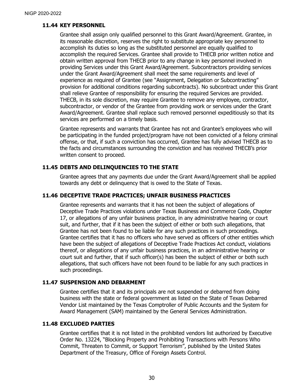### <span id="page-33-0"></span>**11.44 KEY PERSONNEL**

Grantee shall assign only qualified personnel to this Grant Award/Agreement. Grantee, in its reasonable discretion, reserves the right to substitute appropriate key personnel to accomplish its duties so long as the substituted personnel are equally qualified to accomplish the required Services. Grantee shall provide to THECB prior written notice and obtain written approval from THECB prior to any change in key personnel involved in providing Services under this Grant Award/Agreement. Subcontractors providing services under the Grant Award/Agreement shall meet the same requirements and level of experience as required of Grantee (see "Assignment, Delegation or Subcontracting" provision for additional conditions regarding subcontracts). No subcontract under this Grant shall relieve Grantee of responsibility for ensuring the required Services are provided. THECB, in its sole discretion, may require Grantee to remove any employee, contractor, subcontractor, or vendor of the Grantee from providing work or services under the Grant Award/Agreement. Grantee shall replace such removed personnel expeditiously so that its services are performed on a timely basis.

Grantee represents and warrants that Grantee has not and Grantee's employees who will be participating in the funded project/program have not been convicted of a felony criminal offense, or that, if such a conviction has occurred, Grantee has fully advised THECB as to the facts and circumstances surrounding the conviction and has received THECB's prior written consent to proceed.

# <span id="page-33-1"></span>**11.45 DEBTS AND DELINQUENCIES TO THE STATE**

Grantee agrees that any payments due under the Grant Award/Agreement shall be applied towards any debt or delinquency that is owed to the State of Texas.

#### <span id="page-33-2"></span>**11.46 DECEPTIVE TRADE PRACTICES; UNFAIR BUSINESS PRACTICES**

Grantee represents and warrants that it has not been the subject of allegations of Deceptive Trade Practices violations under Texas Business and Commerce Code, Chapter 17, or allegations of any unfair business practice, in any administrative hearing or court suit, and further, that if it has been the subject of either or both such allegations, that Grantee has not been found to be liable for any such practices in such proceedings. Grantee certifies that it has no officers who have served as officers of other entities which have been the subject of allegations of Deceptive Trade Practices Act conduct, violations thereof, or allegations of any unfair business practices, in an administrative hearing or court suit and further, that if such officer(s) has been the subject of either or both such allegations, that such officers have not been found to be liable for any such practices in such proceedings.

#### <span id="page-33-3"></span>**11.47 SUSPENSION AND DEBARMENT**

Grantee certifies that it and its principals are not suspended or debarred from doing business with the state or federal government as listed on the State of Texas Debarred Vendor List maintained by the Texas Comptroller of Public Accounts and the System for Award Management (SAM) maintained by the General Services Administration.

#### <span id="page-33-4"></span>**11.48 EXCLUDED PARTIES**

Grantee certifies that it is not listed in the prohibited vendors list authorized by Executive Order No. 13224, "Blocking Property and Prohibiting Transactions with Persons Who Commit, Threaten to Commit, or Support Terrorism", published by the United States Department of the Treasury, Office of Foreign Assets Control.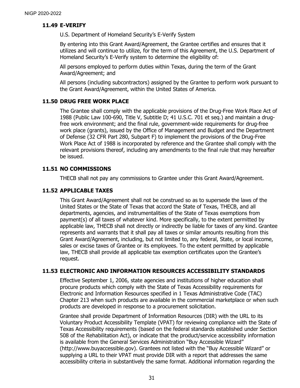#### <span id="page-34-0"></span>**11.49 E-VERIFY**

U.S. Department of Homeland Security's E-Verify System

By entering into this Grant Award/Agreement, the Grantee certifies and ensures that it utilizes and will continue to utilize, for the term of this Agreement, the U.S. Department of Homeland Security's E-Verify system to determine the eligibility of:

All persons employed to perform duties within Texas, during the term of the Grant Award/Agreement; and

All persons (including subcontractors) assigned by the Grantee to perform work pursuant to the Grant Award/Agreement, within the United States of America.

#### <span id="page-34-1"></span>**11.50 DRUG FREE WORK PLACE**

The Grantee shall comply with the applicable provisions of the Drug-Free Work Place Act of 1988 (Public Law 100-690, Title V, Subtitle D; 41 U.S.C. 701 et seq.) and maintain a drugfree work environment; and the final rule, government-wide requirements for drug-free work place (grants), issued by the Office of Management and Budget and the Department of Defense (32 CFR Part 280, Subpart F) to implement the provisions of the Drug-Free Work Place Act of 1988 is incorporated by reference and the Grantee shall comply with the relevant provisions thereof, including any amendments to the final rule that may hereafter be issued.

# <span id="page-34-2"></span>**11.51 NO COMMISSIONS**

THECB shall not pay any commissions to Grantee under this Grant Award/Agreement.

### <span id="page-34-3"></span>**11.52 APPLICABLE TAXES**

This Grant Award/Agreement shall not be construed so as to supersede the laws of the United States or the State of Texas that accord the State of Texas, THECB, and all departments, agencies, and instrumentalities of the State of Texas exemptions from payment(s) of all taxes of whatever kind. More specifically, to the extent permitted by applicable law, THECB shall not directly or indirectly be liable for taxes of any kind. Grantee represents and warrants that it shall pay all taxes or similar amounts resulting from this Grant Award/Agreement, including, but not limited to, any federal, State, or local income, sales or excise taxes of Grantee or its employees. To the extent permitted by applicable law, THECB shall provide all applicable tax exemption certificates upon the Grantee's request.

# <span id="page-34-4"></span>**11.53 ELECTRONIC AND INFORMATION RESOURCES ACCESSIBILITY STANDARDS**

Effective September 1, 2006, state agencies and institutions of higher education shall procure products which comply with the State of Texas Accessibility requirements for Electronic and Information Resources specified in 1 Texas Administrative Code (TAC) Chapter 213 when such products are available in the commercial marketplace or when such products are developed in response to a procurement solicitation.

Grantee shall provide Department of Information Resources (DIR) with the URL to its Voluntary Product Accessibility Template (VPAT) for reviewing compliance with the State of Texas Accessibility requirements (based on the federal standards established under Section 508 of the Rehabilitation Act), or indicate that the product/service accessibility information is available from the General Services Administration "Buy Accessible Wizard" (http://www.buyaccessible.gov). Grantees not listed with the "Buy Accessible Wizard" or supplying a URL to their VPAT must provide DIR with a report that addresses the same accessibility criteria in substantively the same format. Additional information regarding the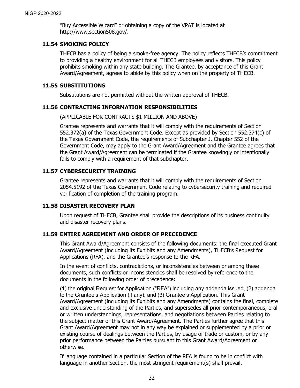"Buy Accessible Wizard" or obtaining a copy of the VPAT is located at http://www.section508.gov/.

#### <span id="page-35-0"></span>**11.54 SMOKING POLICY**

THECB has a policy of being a smoke-free agency. The policy reflects THECB's commitment to providing a healthy environment for all THECB employees and visitors. This policy prohibits smoking within any state building. The Grantee, by acceptance of this Grant Award/Agreement, agrees to abide by this policy when on the property of THECB.

#### <span id="page-35-1"></span>**11.55 SUBSTITUTIONS**

Substitutions are not permitted without the written approval of THECB.

#### <span id="page-35-2"></span>**11.56 CONTRACTING INFORMATION RESPONSIBILITIES**

(APPLICABLE FOR CONTRACTS \$1 MILLION AND ABOVE)

Grantee represents and warrants that it will comply with the requirements of Section 552.372(a) of the Texas Government Code. Except as provided by Section 552.374(c) of the Texas Government Code, the requirements of Subchapter J, Chapter 552 of the Government Code, may apply to the Grant Award/Agreement and the Grantee agrees that the Grant Award/Agreement can be terminated if the Grantee knowingly or intentionally fails to comply with a requirement of that subchapter.

#### <span id="page-35-3"></span>**11.57 CYBERSECURITY TRAINING**

Grantee represents and warrants that it will comply with the requirements of Section 2054.5192 of the Texas Government Code relating to cybersecurity training and required verification of completion of the training program.

#### <span id="page-35-4"></span>**11.58 DISASTER RECOVERY PLAN**

Upon request of THECB, Grantee shall provide the descriptions of its business continuity and disaster recovery plans.

### <span id="page-35-5"></span>**11.59 ENTIRE AGREEMENT AND ORDER OF PRECEDENCE**

This Grant Award/Agreement consists of the following documents: the final executed Grant Award/Agreement (including its Exhibits and any Amendments), THECB's Request for Applications (RFA), and the Grantee's response to the RFA.

In the event of conflicts, contradictions, or inconsistencies between or among these documents, such conflicts or inconsistencies shall be resolved by reference to the documents in the following order of precedence:

(1) the original Request for Application ("RFA") including any addenda issued, (2) addenda to the Grantee's Application (if any), and (3) Grantee's Application. This Grant Award/Agreement (including its Exhibits and any Amendments) contains the final, complete and exclusive understanding of the Parties, and supersedes all prior contemporaneous, oral or written understandings, representations, and negotiations between Parties relating to the subject matter of this Grant Award/Agreement. The Parties further agree that this Grant Award/Agreement may not in any way be explained or supplemented by a prior or existing course of dealings between the Parties, by usage of trade or custom, or by any prior performance between the Parties pursuant to this Grant Award/Agreement or otherwise.

If language contained in a particular Section of the RFA is found to be in conflict with language in another Section, the most stringent requirement(s) shall prevail.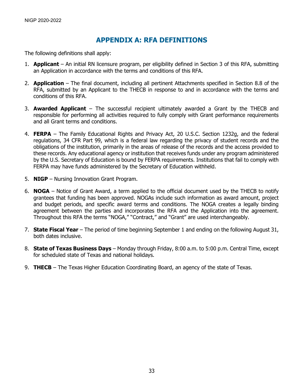# **APPENDIX A: RFA DEFINITIONS**

<span id="page-36-0"></span>The following definitions shall apply:

- 1. **Applicant** An initial RN licensure program, per eligibility defined in Section 3 of this RFA, submitting an Application in accordance with the terms and conditions of this RFA.
- 2. **Application**  The final document, including all pertinent Attachments specified in Section 8.8 of the RFA, submitted by an Applicant to the THECB in response to and in accordance with the terms and conditions of this RFA.
- 3. **Awarded Applicant** The successful recipient ultimately awarded a Grant by the THECB and responsible for performing all activities required to fully comply with Grant performance requirements and all Grant terms and conditions.
- 4. **FERPA** The Family Educational Rights and Privacy Act, 20 U.S.C. Section 1232g, and the federal regulations, 34 CFR Part 99, which is a federal law regarding the privacy of student records and the obligations of the institution, primarily in the areas of release of the records and the access provided to these records. Any educational agency or institution that receives funds under any program administered by the U.S. Secretary of Education is bound by FERPA requirements. Institutions that fail to comply with FERPA may have funds administered by the Secretary of Education withheld.
- 5. **NIGP** Nursing Innovation Grant Program.
- 6. **NOGA** Notice of Grant Award, a term applied to the official document used by the THECB to notify grantees that funding has been approved. NOGAs include such information as award amount, project and budget periods, and specific award terms and conditions. The NOGA creates a legally binding agreement between the parties and incorporates the RFA and the Application into the agreement. Throughout this RFA the terms "NOGA," "Contract," and "Grant" are used interchangeably.
- 7. **State Fiscal Year** The period of time beginning September 1 and ending on the following August 31, both dates inclusive.
- 8. **State of Texas Business Days** Monday through Friday, 8:00 a.m. to 5:00 p.m. Central Time, except for scheduled state of Texas and national holidays.
- 9. **THECB** The Texas Higher Education Coordinating Board, an agency of the state of Texas.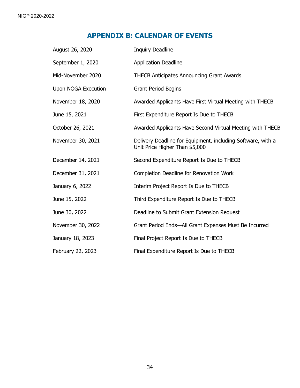# **APPENDIX B: CALENDAR OF EVENTS**

<span id="page-37-0"></span>

| August 26, 2020            | <b>Inquiry Deadline</b>                                                                       |
|----------------------------|-----------------------------------------------------------------------------------------------|
| September 1, 2020          | <b>Application Deadline</b>                                                                   |
| Mid-November 2020          | <b>THECB Anticipates Announcing Grant Awards</b>                                              |
| <b>Upon NOGA Execution</b> | <b>Grant Period Begins</b>                                                                    |
| November 18, 2020          | Awarded Applicants Have First Virtual Meeting with THECB                                      |
| June 15, 2021              | First Expenditure Report Is Due to THECB                                                      |
| October 26, 2021           | Awarded Applicants Have Second Virtual Meeting with THECB                                     |
| November 30, 2021          | Delivery Deadline for Equipment, including Software, with a<br>Unit Price Higher Than \$5,000 |
| December 14, 2021          | Second Expenditure Report Is Due to THECB                                                     |
| December 31, 2021          | <b>Completion Deadline for Renovation Work</b>                                                |
| January 6, 2022            | Interim Project Report Is Due to THECB                                                        |
| June 15, 2022              | Third Expenditure Report Is Due to THECB                                                      |
| June 30, 2022              | Deadline to Submit Grant Extension Request                                                    |
| November 30, 2022          | Grant Period Ends-All Grant Expenses Must Be Incurred                                         |
| January 18, 2023           | Final Project Report Is Due to THECB                                                          |
| February 22, 2023          | Final Expenditure Report Is Due to THECB                                                      |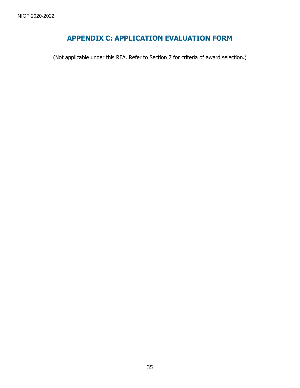# **APPENDIX C: APPLICATION EVALUATION FORM**

<span id="page-38-0"></span>(Not applicable under this RFA. Refer to Section 7 for criteria of award selection.)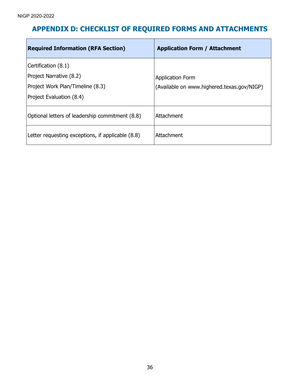# <span id="page-39-0"></span>**APPENDIX D: CHECKLIST OF REQUIRED FORMS AND ATTACHMENTS**

| <b>Required Information (RFA Section)</b>                                                                      | <b>Application Form / Attachment</b>                                  |
|----------------------------------------------------------------------------------------------------------------|-----------------------------------------------------------------------|
| Certification (8.1)<br>Project Narrative (8.2)<br>Project Work Plan/Timeline (8.3)<br>Project Evaluation (8.4) | <b>Application Form</b><br>(Available on www.highered.texas.gov/NIGP) |
| Optional letters of leadership commitment (8.8)                                                                | Attachment                                                            |
| Letter requesting exceptions, if applicable (8.8)                                                              | Attachment                                                            |